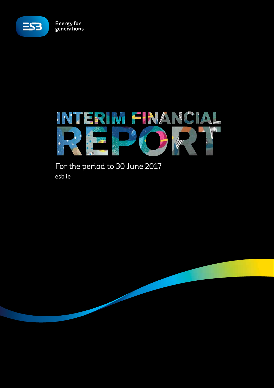



For the period to 30 June 2017 esb.ie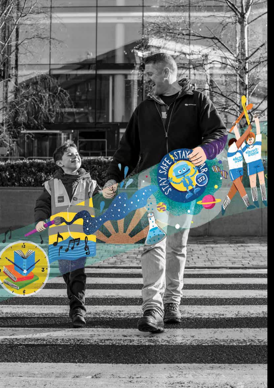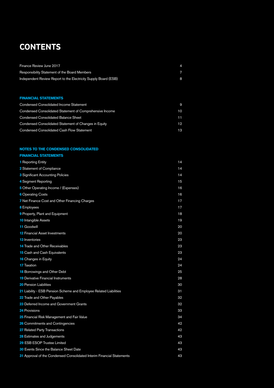## **Contents**

| Finance Review June 2017                                        |  |
|-----------------------------------------------------------------|--|
| Responsibility Statement of the Board Members                   |  |
| Independent Review Report to the Electricity Supply Board (ESB) |  |

## **FINANCIAL STATEMENTS**

| <b>Condensed Consolidated Income Statement</b>           | 9  |
|----------------------------------------------------------|----|
| Condensed Consolidated Statement of Comprehensive Income | 10 |
| <b>Condensed Consolidated Balance Sheet</b>              | 11 |
| Condensed Consolidated Statement of Changes in Equity    | 12 |
| Condensed Consolidated Cash Flow Statement               | 13 |

## **NOTES TO THE CONDENSED CONSOLIDATED**

| <b>FINANCIAL STATEMENTS</b>                                            |    |
|------------------------------------------------------------------------|----|
| <b>1</b> Reporting Entity                                              | 14 |
| 2 Statement of Compliance                                              | 14 |
| <b>3</b> Significant Accounting Policies                               | 14 |
| 4 Segment Reporting                                                    | 15 |
| <b>5</b> Other Operating Income / (Expenses)                           | 16 |
| <b>6 Operating Costs</b>                                               | 16 |
| 7 Net Finance Cost and Other Financing Charges                         | 17 |
| <b>8</b> Employees                                                     | 17 |
| 9 Property, Plant and Equipment                                        | 18 |
| <b>10</b> Intangible Assets                                            | 19 |
| 11 Goodwill                                                            | 20 |
| <b>12 Financial Asset Investments</b>                                  | 20 |
| <b>13</b> Inventories                                                  | 23 |
| <b>14 Trade and Other Receivables</b>                                  | 23 |
| <b>15</b> Cash and Cash Equivalents                                    | 23 |
| <b>16</b> Changes in Equity                                            | 24 |
| <b>17 Taxation</b>                                                     | 24 |
| <b>18 Borrowings and Other Debt</b>                                    | 25 |
| <b>19</b> Derivative Financial Instruments                             | 28 |
| <b>20 Pension Liabilities</b>                                          | 30 |
| 21 Liability - ESB Pension Scheme and Employee Related Liabilities     | 31 |
| 22 Trade and Other Payables                                            | 32 |
| 23 Deferred Income and Government Grants                               | 32 |
| 24 Provisions                                                          | 33 |
| 25 Financial Risk Management and Fair Value                            | 34 |
| <b>26</b> Commitments and Contingencies                                | 42 |
| 27 Related Party Transactions                                          | 42 |
| 28 Estimates and Judgements                                            | 43 |
| <b>29 ESB ESOP Trustee Limited</b>                                     | 43 |
| <b>30</b> Events Since the Balance Sheet Date                          | 43 |
| 31 Approval of the Condensed Consolidated Interim Financial Statements | 43 |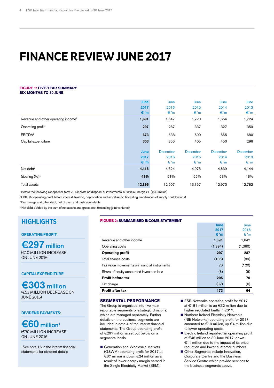# **FINANCE REVIEW JUNE 2017**

## **Figure 1: Five-year summary**

| <b>SIX MONTHS TO 30 JUNE</b> |  |
|------------------------------|--|
|------------------------------|--|

|                                                 | <b>June</b>      | June             | June             | June             | June             |
|-------------------------------------------------|------------------|------------------|------------------|------------------|------------------|
|                                                 | 2017             | 2016             | 2015             | 2014             | 2013             |
|                                                 | $\varepsilon$ 'm | $\varepsilon$ 'm | $\varepsilon$ 'm | $\varepsilon$ 'm | $\varepsilon$ 'm |
| Revenue and other operating income <sup>1</sup> | 1,691            | 1,647            | 1,720            | 1,654            | 1,724            |
| Operating profit <sup>1</sup>                   | 297              | 287              | 337              | 327              | 359              |
| EBITDA <sup>2</sup>                             | 673              | 638              | 690              | 665              | 680              |
| Capital expenditure                             | 303              | 356              | 405              | 450              | 296              |
|                                                 | <b>June</b>      | <b>December</b>  | <b>December</b>  | <b>December</b>  | December         |
|                                                 | 2017             | 2016             | 2015             | 2014             | 2013             |
|                                                 | $\varepsilon$ 'm | $\varepsilon$ 'm | $\varepsilon$ 'm | $\varepsilon$ 'm | $\varepsilon$ 'm |
| Net debt $3$                                    | 4,416            | 4,524            | 4,975            | 4,639            | 4,144            |
|                                                 |                  |                  |                  |                  |                  |
| Gearing (%) <sup>4</sup>                        | 48%              | 51%              | 55%              | 53%              | 48%              |
| Total assets                                    | 12,896           | 12,907           | 13,157           | 12,973           | 12,782           |

1 Before the following exceptional item: 2014: profit on disposal of investments in Bizkaia Energia SL (€38 million)

2 EBITDA: operating profit before interest, taxation, depreciation and amortisation (including amortisation of supply contributions)

<sup>3</sup> Borrowings and other debt, net of cash and cash equivalents

4 Net debt divided by the sum of net assets and gross debt (excluding joint ventures)

## **HIGHLIGHTS**

## **OPERATING PROFIT:**

(€10 MILLION INCREASE ON JUNE 2016) €297million

### **CAPITAL EXPENDITURE:**

(€53 MILLION DECREASE ON JUNE 2016) €303million

## **DIVIDEND PAYMENTS:**

€60million1

(€30 MILLION INCREASE ON JUNE 2016)

1See note 16 in the interim financial statements for dividend details

#### **Figure 2: Summarised income statement 2017 2016**

| <b>Profit after tax</b>                       | 173              | 64               |
|-----------------------------------------------|------------------|------------------|
| Tax charge                                    | (32)             | (6)              |
| Profit before tax                             | 205              | 70               |
| Share of equity accounted investees loss      | (6)              | (8)              |
| Fair value movements on financial instruments | 20               | (120)            |
| Total finance costs                           | (106)            | (89)             |
| <b>Operating profit</b>                       | 297              | 287              |
| Operating costs                               | (1, 394)         | (1,360)          |
| Revenue and other income                      | 1,691            | 1,647            |
|                                               | $\varepsilon$ 'm | $\varepsilon$ 'm |
|                                               | 2017             | 2016             |

### **SEGMENTAL PERFORMANCE**

The Group is organised into five main reportable segments or strategic divisions, which are managed separately. Further details on the business segments are included in note 4 of the interim financial statements. The Group operating profit of €297 million is set out below on a segmental basis.

- Generation and Wholesale Markets (G&WM) operating profit for 2017 at €87 million is down €24 million as a result of lower energy margin earned in the Single Electricity Market (SEM).
- ESB Networks operating profit for 2017 at €181 million is up €32 million due to higher regulated tariffs in 2017.

**June**

June

- Northern Ireland Electricity Networks (NIE Networks) operating profit for 2017 amounted to €19 million, up €4 million due to lower operating costs.
- Electric Ireland reported an operating profit of €46 million to 30 June 2017, down €11 million due to the impact of its price reduction and lower customer numbers.
- Other Segments include Innovation, Corporate Centre and the Business Service Centre which provide services to the business segments above.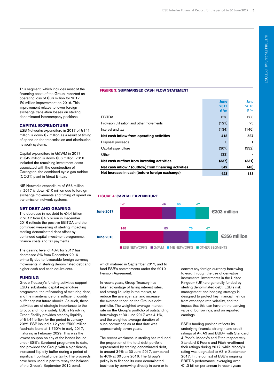This segment, which includes most of the financing costs of the Group, reported an operating loss of €36 million for 2017, €9 million improvement on 2016. This improvement relates to lower foreign exchange translation losses on sterling denominated intercompany positions.

## **CAPITAL EXPENDITURE**

ESB Networks expenditure in 2017 of €141 million is down €7 million as a result of timing of spend on the transmission and distribution network systems.

Capital expenditure in G&WM in 2017 at €49 million is down €36 million. 2016 included the remaining investment costs associated with the construction of Carrington, the combined cycle gas turbine (CCGT) plant in Great Britain.

NIE Networks expenditure of €66 million in 2017 is down €10 million due to foreign exchange movements and timing of spend on transmission network systems.

## **NET DEBT AND GEARING**

The decrease in net debt to €4.4 billion in 2017 from €4.5 billion in December 2016 reflects the positive EBITDA and the continued weakening of sterling impacting sterling denominated debt offset by continued capital investment programme, finance costs and tax payments.

The gearing level of 48% for 2017 has decreased 3% from December 2016 primarilly due to favourable foreign currency movements in sterling denominated debt and higher cash and cash equivalents.

## **FUNDING**

Group Treasury's funding activities support ESB's substantial capital expenditure programme, the refinancing of maturing debt, and the maintenance of a sufficient liquidity buffer against future shocks. As such, these activities are of strategic importance to the Group, and more widely. ESB's Revolving Credit Facility provides standby liquidity of €1.44 billion for the period to January 2022. ESB issued a 12 year, €500 million fixed-rate bond at 1.750% in early 2017, maturing in February 2029. This was the lowest coupon on any of the bonds issued under ESB's Eurobond programme to date, and provided the Group with a significantly increased liquidity buffer during a period of significant political uncertainty. The proceeds have been used in part to repay the balance of the Group's September 2012 bond,

### **FIGURE 3: SUMMARISED CASH FLOW STATEMENT**

|                                                       | <b>June</b>      | June             |
|-------------------------------------------------------|------------------|------------------|
|                                                       | 2017             | 2016             |
|                                                       | $\varepsilon$ 'm | $\varepsilon$ 'm |
| <b>EBITDA</b>                                         | 673              | 638              |
| Provision utilisation and other movements             | (121)            | 75               |
| Interest and tax                                      | (134)            | (146)            |
| Net cash inflow from operating activities             | 418              | 567              |
| Disposal proceeds                                     | 3                |                  |
| Capital expenditure                                   | (307)            | (332)            |
| Other                                                 | (33)             |                  |
| Net cash outflow from investing activities            | (337)            | (331)            |
| Net cash inflow / (outflow) from financing activities | 342              | (48)             |
| Net increase in cash (before foreign exchange)        | 423              | 188              |



which matured in September 2017, and to fund ESB's commitments under the 2010 Pension Agreement.

In recent years, Group Treasury has taken advantage of falling interest rates, and strong liquidity in the market, to reduce the average rate, and increase the average tenor, on the Group's debt portfolio. The weighted average interest rate on the Group's portfolio of outstanding borrowings at 30 June 2017 was 4.1%, and the weighted average duration of such borrowings as at that date was approximately seven years.

The recent weakness in sterling has reduced the proportion of the total debt portfolio represented by sterling denominated debt, to around 34% at 30 June 2017, compared to 40% at 30 June 2016. The Group's policy is to finance its euro denominated business by borrowing directly in euro or to

convert any foreign currency borrowing to euro through the use of derivative instruments. Investments in the United Kingdom (UK) are generally funded by sterling denominated debt. ESB's risk management and hedging strategy is designed to protect key financial metrics from exchange rate volatility, and the impact that this can have on the carrying value of borrowings, and on reported earnings.

ESB's funding position reflects its underlying financial strength and credit ratings of A-, A3 and BBB+ with Standard & Poor's, Moody's and Fitch respectively. Standard & Poor's and Fitch re-affirmed their ratings during 2017, while Moody's rating was upgraded to A3 in September 2017. In the context of ESB's ongoing EBITDA performance, averaging over €1.3 billion per annum in recent years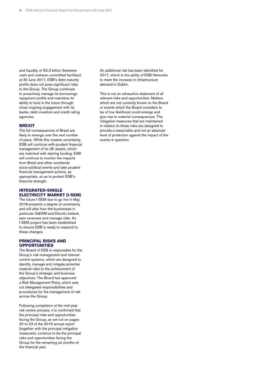and liquidity of €2.3 billion (between cash and undrawn committed facilities) at 30 June 2017, ESB's debt maturity profile does not pose significant risks to the Group. The Group continues to proactively manage its borrowings repayment profile and maintains its ability to fund in the future through close ongoing engagement with its banks, debt investors and credit rating agencies.

## **BREXIT**

The full consequences of Brexit are likely to emerge over the next number of years. While this creates uncertainty, ESB will continue with prudent financial management of its UK assets, which are matched with sterling funding. ESB will continue to monitor the impacts from Brexit and other worldwide socio-political events and take prudent financial management actions, as appropriate, so as to protect ESB's financial strength.

#### **Integrated-Single Electricity Market (I-SEM)**

The future I-SEM due to go live in May 2018 presents a degree of uncertainty and will alter how the businesses in particular G&WM and Electric Ireland, earn revenues and manage risks. An I-SEM project has been established to ensure ESB is ready to respond to these changes.

#### **PRINCIPAL RISKS AND OPPORTUNITIES**

The Board of ESB is responsible for the Group's risk management and internal control systems, which are designed to identify, manage and mitigate potential material risks to the achievement of the Group's strategic and business objectives. The Board has approved a Risk Management Policy which sets out delegated responsibilities and procedures for the management of risk across the Group.

Following completion of the mid-year risk review process, it is confirmed that the principal risks and opportunities facing the Group, as set out on pages 20 to 23 of the 2016 annual report (together with the principal mitigation measures), continue to be the principal risks and opportunities facing the Group for the remaining six months of the financial year.

An additional risk has been identified for 2017, which is the ability of ESB Networks to meet the increase in infrastructure demand in Dublin.

This is not an exhaustive statement of all relevant risks and opportunities. Matters which are not currently known to the Board or events which the Board considers to be of low likelihood could emerge and give rise to material consequences. The mitigation measures that are maintained in relation to these risks are designed to provide a reasonable and not an absolute level of protection against the impact of the events in question.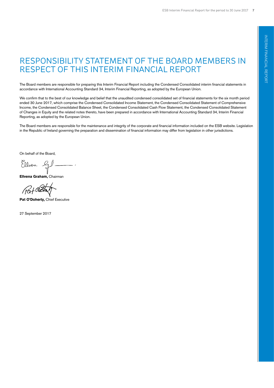## RESPONSIBILITY STATEMENT OF THE BOARD MEMBERS IN RESPECT OF THIS INTERIM FINANCIAL REPORT

The Board members are responsible for preparing this Interim Financial Report including the Condensed Consolidated interim financial statements in accordance with International Accounting Standard 34, Interim Financial Reporting, as adopted by the European Union.

We confirm that to the best of our knowledge and belief that the unaudited condensed consolidated set of financial statements for the six month period ended 30 June 2017, which comprise the Condensed Consolidated Income Statement, the Condensed Consolidated Statement of Comprehensive Income, the Condensed Consolidated Balance Sheet, the Condensed Consolidated Cash Flow Statement, the Condensed Consolidated Statement of Changes in Equity and the related notes thereto, have been prepared in accordance with International Accounting Standard 34, Interim Financial Reporting, as adopted by the European Union.

The Board members are responsible for the maintenance and integrity of the corporate and financial information included on the ESB website. Legislation in the Republic of Ireland governing the preparation and dissemination of financial information may differ from legislation in other jurisdictions.

On behalf of the Board,

Ellvera Gol

**Ellvena Graham,** Chairman

Ratclett

**Pat O'Doherty,** Chief Executive

27 September 2017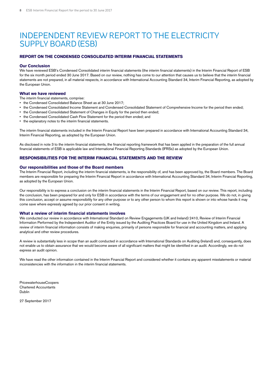## independent review report to the electricity supply board (ESB)

## **Report on the condensed consolidated interim financial statements**

#### **Our Conclusion**

We have reviewed ESB's Condensed Consolidated interim financial statements (the interim financial statements) in the Interim Financial Report of ESB for the six month period ended 30 June 2017. Based on our review, nothing has come to our attention that causes us to believe that the interim financial statements are not prepared, in all material respects, in accordance with International Accounting Standard 34, Interim Financial Reporting, as adopted by the European Union.

### **What we have reviewed**

The interim financial statements, comprise:

- the Condensed Consolidated Balance Sheet as at 30 June 2017;
- the Condensed Consolidated Income Statement and Condensed Consolidated Statement of Comprehensive Income for the period then ended;
- the Condensed Consolidated Statement of Changes in Equity for the period then ended;
- the Condensed Consolidated Cash Flow Statement for the period then ended; and
- the explanatory notes to the interim financial statements.

The interim financial statements included in the Interim Financial Report have been prepared in accordance with International Accounting Standard 34, Interim Financial Reporting, as adopted by the European Union.

As disclosed in note 3 to the interim financial statements, the financial reporting framework that has been applied in the preparation of the full annual financial statements of ESB is applicable law and International Financial Reporting Standards (IFRSs) as adopted by the European Union.

## **responsibilities for the interim financial statements and the review**

#### **Our responsibilities and those of the Board members**

The Interim Financial Report, including the interim financial statements, is the responsibility of, and has been approved by, the Board members. The Board members are responsible for preparing the Interim Financial Report in accordance with International Accounting Standard 34, Interim Financial Reporting, as adopted by the European Union.

Our responsibility is to express a conclusion on the interim financial statements in the Interim Financial Report, based on our review. This report, including the conclusion, has been prepared for and only for ESB in accordance with the terms of our engagement and for no other purpose. We do not, in giving this conclusion, accept or assume responsibility for any other purpose or to any other person to whom this report is shown or into whose hands it may come save where expressly agreed by our prior consent in writing.

### **What a review of interim financial statements involves**

We conducted our review in accordance with International Standard on Review Engagements (UK and Ireland) 2410, Review of Interim Financial Information Performed by the Independent Auditor of the Entity issued by the Auditing Practices Board for use in the United Kingdom and Ireland. A review of interim financial information consists of making enquiries, primarily of persons responsible for financial and accounting matters, and applying analytical and other review procedures.

A review is substantially less in scope than an audit conducted in accordance with International Standards on Auditing (Ireland) and, consequently, does not enable us to obtain assurance that we would become aware of all significant matters that might be identified in an audit. Accordingly, we do not express an audit opinion.

We have read the other information contained in the Interim Financial Report and considered whether it contains any apparent misstatements or material inconsistencies with the information in the interim financial statements.

PricewaterhouseCoopers Chartered Accountants Dublin

27 September 2017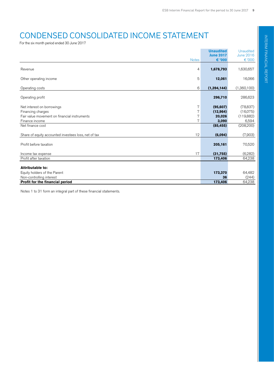## Condensed Consolidated Income Statement

For the six month period ended 30 June 2017

|                                                            | <b>Unaudited</b><br><b>June 2017</b> | <b>Unaudited</b><br><b>June 2016</b> |
|------------------------------------------------------------|--------------------------------------|--------------------------------------|
| <b>Notes</b>                                               | € '000                               | 6'000                                |
| 4<br>Revenue                                               | 1,678,793                            | 1,630,657                            |
| 5<br>Other operating income                                | 12,061                               | 16,066                               |
| 6<br>Operating costs                                       | (1, 394, 144)                        | (1,360,100)                          |
| Operating profit                                           | 296,710                              | 286,623                              |
| 7<br>Net interest on borrowings                            | (95, 607)                            | (78, 837)                            |
| 7<br>Financing charges                                     | (12, 964)                            | (16,075)                             |
| Fair value movement on financial instruments<br>7          | 20,026                               | (119,882)                            |
| 7<br>Finance income                                        | 3,090                                | 6,594                                |
| Net finance cost                                           | (85, 455)                            | (208, 200)                           |
| 12<br>Share of equity accounted investees loss, net of tax | (6,094)                              | (7,903)                              |
| Profit before taxation                                     | 205,161                              | 70,520                               |
| 17<br>Income tax expense                                   | (31,755)                             | (6, 282)                             |
| Profit after taxation                                      | 173,406                              | 64,238                               |
| <b>Attributable to:</b>                                    |                                      |                                      |
| Equity holders of the Parent                               | 173,370                              | 64,482                               |
| Non-controlling interest                                   | 36                                   | (244)                                |
| Profit for the financial period                            | 173,406                              | 64,238                               |

Notes 1 to 31 form an integral part of these financial statements.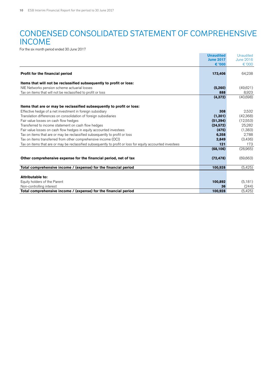## Condensed Consolidated Statement of Comprehensive Income

For the six month period ended 30 June 2017

|                                                                                                            | <b>Unaudited</b> | Unaudited        |
|------------------------------------------------------------------------------------------------------------|------------------|------------------|
|                                                                                                            | <b>June 2017</b> | <b>June 2016</b> |
|                                                                                                            | € '000           | € '000           |
|                                                                                                            |                  |                  |
| Profit for the financial period                                                                            | 173,406          | 64,238           |
| Items that will not be reclassified subsequently to profit or loss:                                        |                  |                  |
| NIE Networks pension scheme actuarial losses                                                               | (5,260)          | (49,621)         |
| Tax on items that will not be reclassified to profit or loss                                               | 888              | 8,923            |
|                                                                                                            | (4,372)          | (40, 698)        |
|                                                                                                            |                  |                  |
| Items that are or may be reclassified subsequently to profit or loss:                                      |                  |                  |
| Effective hedge of a net investment in foreign subsidiary                                                  | 308              | 2,532            |
| Translation differences on consolidation of foreign subsidiaries                                           | (1, 301)         | (42, 368)        |
| Fair value losses on cash flow hedges                                                                      | (51, 394)        | (12,553)         |
| Transferred to income statement on cash flow hedges                                                        | (24, 572)        | 25,282           |
| Fair value losses on cash flow hedges in equity accounted investees                                        | (475)            | (1,383)          |
| Tax on items that are or may be reclassified subsequently to profit or loss                                | 6,358            | 2,788            |
| Tax on items transferred from other comprehensive income (OCI)                                             | 2,849            | (3,436)          |
| Tax on items that are or may be reclassified subsequently to profit or loss for equity accounted investees | 121              | 173              |
|                                                                                                            | (68, 106)        | (28,965)         |
|                                                                                                            |                  |                  |
| Other comprehensive expense for the financial period, net of tax                                           | (72, 478)        | (69, 663)        |
| Total comprehensive income / (expense) for the financial period                                            | 100,928          | (5, 425)         |
|                                                                                                            |                  |                  |
| Attributable to:                                                                                           |                  |                  |
| Equity holders of the Parent                                                                               | 100,892          | (5, 181)         |
| Non-controlling interest                                                                                   | 36               | (244)            |
| Total comprehensive income / (expense) for the financial period                                            | 100,928          | (5, 425)         |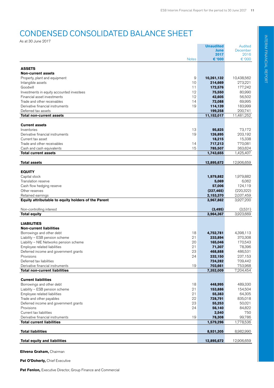## Condensed Consolidated Balance Sheet

As at 30 June 2017

|                                                     | <b>Unaudited</b>        | Audited          |
|-----------------------------------------------------|-------------------------|------------------|
|                                                     | <b>June</b>             | December<br>2016 |
| <b>Notes</b>                                        | 2017<br>$\epsilon$ '000 | € '000           |
|                                                     |                         |                  |
| <b>ASSETS</b>                                       |                         |                  |
| <b>Non-current assets</b>                           |                         |                  |
| 9<br>Property, plant and equipment                  | 10,261,132              | 10,438,562       |
| 10<br>Intangible assets                             | 214,669                 | 273,221          |
| Goodwill<br>11                                      | 172,576                 | 177,242          |
| 12<br>Investments in equity accounted investees     | 75,550                  | 80,990           |
| Financial asset investments<br>12                   | 42,605                  | 56,502           |
| Trade and other receivables<br>14                   | 72,088                  | 69,995           |
| Derivative financial instruments<br>19              | 114,139                 | 183,999          |
| Deferred tax assets                                 | 199,258                 | 200,741          |
| <b>Total non-current assets</b>                     | 11,152,017              | 11,481,252       |
| <b>Current assets</b>                               |                         |                  |
| 13<br>Inventories                                   | 95,825                  | 73,172           |
| 19<br>Derivative financial instruments              | 126,895                 | 203,192          |
| Current tax asset                                   | 18,215                  | 15,338           |
| Trade and other receivables<br>14                   | 717,213                 | 770,081          |
| 15<br>Cash and cash equivalents                     | 785,507                 | 363,624          |
| <b>Total current assets</b>                         | 1,743,655               | 1,425,407        |
|                                                     |                         |                  |
| <b>Total assets</b>                                 | 12,895,672              | 12,906,659       |
| <b>EQUITY</b>                                       |                         |                  |
| Capital stock                                       | 1,979,882               | 1,979,882        |
| Translation reserve                                 | 5,069                   | 6,062            |
| Cash flow hedging reserve                           | 57,006                  | 124,119          |
| Other reserves                                      | (227, 465)              | (220, 322)       |
| Retained earnings                                   | 2,153,370               | 2,037,459        |
| Equity attributable to equity holders of the Parent | 3,967,862               | 3,927,200        |
|                                                     |                         |                  |
| Non-controlling interest                            | (3, 495)                | (3,531)          |
| <b>Total equity</b>                                 | 3,964,367               | 3,923,669        |
| <b>LIABILITIES</b>                                  |                         |                  |
| <b>Non-current liabilities</b>                      |                         |                  |
| Borrowings and other debt<br>18                     | 4,752,781               | 4,398,113        |
| Liability - ESB pension scheme<br>21                | 233,894                 | 370,308          |
| 20<br>Liability - NIE Networks pension scheme       | 165,046                 | 170,543          |
| Employee related liabilities<br>21                  | 71,307                  | 78,396           |
| 23<br>Deferred income and government grants         | 468,888                 | 486,531          |
| 24<br>Provisions                                    | 232,150                 | 237,153          |
| Deferred tax liabilities                            | 724,282                 | 709,442          |
| Derivative financial instruments<br>19              | 703,661                 | 753,968          |
| <b>Total non-current liabilities</b>                | 7,352,009               | 7,204,454        |
|                                                     |                         |                  |
| <b>Current liabilities</b>                          |                         |                  |
| Borrowings and other debt<br>18                     | 448,995                 | 489,330          |
| Liability - ESB pension scheme<br>21                | 153,886                 | 154,504          |
| 21<br>Employee related liabilities                  | 55,383                  | 64,305           |
| Trade and other payables<br>22                      | 728,791                 | 835,018          |
| 23<br>Deferred income and government grants         | 55,253                  | 50,021           |
| Provisions<br>24                                    | 56,140                  | 84,822           |
| Current tax liabilities                             | 2,540                   | 750              |
| Derivative financial instruments<br>19              | 78,308                  | 99,786           |
| <b>Total current liabilities</b>                    | 1,579,296               | 1,778,536        |
| <b>Total liabilities</b>                            | 8,931,305               | 8,982,990        |
| <b>Total equity and liabilities</b>                 | 12,895,672              | 12,906,659       |
|                                                     |                         |                  |

**Ellvena Graham,** Chairman

**Pat O'Doherty, Chief Executive** 

Pat Fenlon, Executive Director, Group Finance and Commercial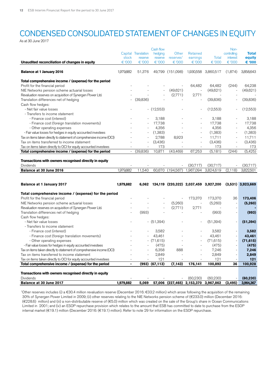# Condensed Consolidated Statement of Changesin Equity

As at 30 June 2017

|                                                                        |                |                     | <b>Cash flow</b>    |                            |                                       |                     | Non-                     |                     |
|------------------------------------------------------------------------|----------------|---------------------|---------------------|----------------------------|---------------------------------------|---------------------|--------------------------|---------------------|
|                                                                        |                | Capital Translation | hedging             | <b>Other</b>               | Retained                              |                     | controlling              | <b>Total</b>        |
|                                                                        | stock          | reserve             | reserve             | reserves <sup>1</sup>      | earnings                              | Total               | interest                 | equity              |
| Unaudited reconciliation of changes in equity                          | € '000         | € '000              | € '000              | € '000                     | € '000                                | € '000              | € '000                   | € '000              |
| <b>Balance at 1 January 2016</b>                                       | 1,979,882      | 51,376              |                     | 49,799 (151,098)           |                                       | 1,930,558 3,860,517 | (1,874)                  | 3,858,643           |
| Total comprehensive income / (expense) for the period                  |                |                     |                     |                            |                                       |                     |                          |                     |
| Profit for the financial period                                        |                |                     |                     |                            | 64,482                                | 64.482              | (244)                    | 64,238              |
| NIE Networks pension scheme actuarial losses                           |                |                     |                     | (49,621)                   |                                       | (49,621)            |                          | (49,621)            |
| Revaluation reserves on acquisition of Synergen Power Ltd.             |                |                     |                     | (2,771)                    | 2,771                                 |                     |                          |                     |
| Translation differences net of hedging                                 |                | (39,836)            |                     |                            |                                       | (39,836)            |                          | (39,836)            |
| Cash flow hedges:                                                      |                |                     |                     |                            |                                       |                     |                          |                     |
| - Net fair value losses                                                |                |                     | $- (12,553)$        |                            |                                       | (12,553)            |                          | (12,553)            |
| - Transfers to income statement                                        |                |                     |                     |                            |                                       |                     |                          |                     |
| - Finance cost (interest)                                              |                |                     | 3,188               |                            |                                       | 3,188               |                          | 3,188               |
| - Finance cost (foreign translation movements)                         |                |                     | 17,738              |                            |                                       | 17,738              |                          | 17,738              |
| - Other operating expenses                                             |                |                     | 4,356               |                            | ÷,                                    | 4,356               | ÷,                       | 4,356               |
| - Fair value losses for hedges in equity accounted investees           |                |                     | (1,383)             |                            |                                       | (1,383)             |                          | (1,383)             |
| Tax on items taken directly to statement of comprehensive income (OCI) |                |                     | 2,788               | 8,923                      | $\overline{a}$                        | 11,711              | $\overline{a}$           | 11,711              |
| Tax on items transferred to income statement                           |                |                     | (3,436)             |                            |                                       | (3,436)             |                          | (3,436)             |
| Tax on items taken directly to OCI for equity accounted investees      |                |                     | 173                 |                            |                                       | 173                 |                          | 173                 |
| Total comprehensive income / (expense) for the period                  |                | (39, 836)           | 10,871              | (43, 469)                  | 67,253                                | (5, 181)            | (244)                    | (5, 425)            |
|                                                                        |                |                     |                     |                            |                                       |                     |                          |                     |
| Transactions with owners recognised directly in equity                 |                |                     |                     |                            |                                       |                     |                          |                     |
| Dividends                                                              |                |                     |                     |                            | (30,717)                              | (30,717)            |                          | (30,717)            |
| Balance at 30 June 2016                                                | 1,979,882      | 11.540              | 60,670              | (194.567)                  | 1.967.094                             | 3.824.619           | (2.118)                  | 3,822,501           |
|                                                                        |                |                     |                     |                            |                                       |                     |                          |                     |
|                                                                        |                |                     |                     |                            |                                       |                     |                          |                     |
| <b>Balance at 1 January 2017</b>                                       | 1,979,882      | 6,062               |                     |                            | 124,119 (220,322) 2,037,459 3,927,200 |                     |                          | $(3,531)$ 3,923,669 |
| Total comprehensive income / (expense) for the period                  |                |                     |                     |                            |                                       |                     |                          |                     |
| Profit for the financial period                                        |                |                     |                     |                            | 173,370                               | 173,370             | 36                       | 173,406             |
| NIE Networks pension scheme actuarial losses                           |                |                     |                     | (5,260)                    |                                       | (5,260)             | ÷,                       | (5, 260)            |
| Revaluation reserves on acquisition of Synergen Power Ltd.             |                |                     | ÷,                  | (2,771)                    | 2,771                                 |                     |                          |                     |
| Translation differences net of hedging                                 |                | (993)               |                     |                            |                                       | (993)               | $\overline{\phantom{a}}$ | (993)               |
| Cash flow hedges:                                                      |                |                     |                     |                            |                                       |                     |                          |                     |
| - Net fair value losses                                                |                |                     | $-$ (51,394)        |                            |                                       | (51, 394)           | ÷,                       | (51, 394)           |
| - Transfers to income statement                                        |                |                     |                     |                            |                                       |                     |                          |                     |
| - Finance cost (interest)                                              |                |                     | 3,582               |                            |                                       | 3,582               |                          | 3,582               |
| - Finance cost (foreign translation movements)                         |                |                     | 43,461              |                            |                                       | 43,461              |                          | 43,461              |
| - Other operating expenses                                             |                |                     | (71,615)            |                            |                                       | (71,615)            |                          | (71, 615)           |
| - Fair value losses for hedges in equity accounted investees           |                |                     | (475)               |                            |                                       | (475)               | L.                       | (475)               |
| Tax on items taken directly to statement of comprehensive income (OCI) |                |                     | 6,358               | 888                        |                                       | 7,246               |                          | 7,246               |
| Tax on items transferred to income statement                           |                |                     | 2,849               |                            |                                       | 2,849               | $\blacksquare$           | 2,849               |
| Tax on items taken directly to OCI for equity accounted investees      |                |                     | 121                 | $\overline{\phantom{a}}$   | $\overline{\phantom{a}}$              | 121                 | $\sim$                   | 121                 |
| Total comprehensive income / (expense) for the period                  | $\blacksquare$ |                     | $(993)$ $(67, 113)$ | (7, 143)                   | 176,141                               | 100,892             | 36                       | 100,928             |
|                                                                        |                |                     |                     |                            |                                       |                     |                          |                     |
| Transactions with owners recognised directly in equity                 |                |                     |                     |                            |                                       |                     |                          |                     |
| Dividends                                                              |                |                     |                     |                            | (60, 230)                             | (60, 230)           |                          | (60, 230)           |
| Balance at 30 June 2017                                                | 1,979,882      | 5,069               |                     | 57,006 (227,465) 2,153,370 |                                       | 3,967,862           | (3, 495)                 | 3,964,367           |

1Other reserves includes (i) a €30.4 million revaluation reserve (December 2016: €33.2 million) which arose following the acquisition of the remaining 30% of Synergen Power Limited in 2009; (ii) other reserves relating to the NIE Networks pension scheme of (€233.0) million (December 2016: (€228.6) million) and (iii) a non-distributable reserve of (€5.0) million which was created on the sale of the Group's share in Ocean Communications Limited in 2001; and (iv) an ESOP repurchase provision which relates to the amount that ESB has committed to date to purchase from the ESOP internal market (€19.1) million (December 2016: (€19.1) million). Refer to note 29 for information on the ESOP repurchase.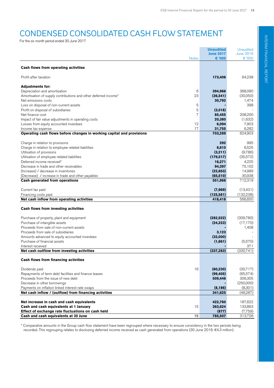## Condensed Consolidated Cash Flow Statement

For the six month period ended 30 June 2017

|                                                                       | <b>Unaudited</b> | <b>Unaudited</b> |
|-----------------------------------------------------------------------|------------------|------------------|
|                                                                       | <b>June 2017</b> | <b>June 2016</b> |
| <b>Notes</b>                                                          | € '000           | € '000           |
| Cash flows from operating activities                                  |                  |                  |
|                                                                       |                  |                  |
| Profit after taxation                                                 | 173,406          | 64,238           |
| <b>Adjustments for:</b>                                               |                  |                  |
| Depreciation and amortisation<br>6                                    | 394,966          | 368,090          |
| 23<br>Amortisation of supply contributions and other deferred income* | (36, 541)        | (30,050)         |
| Net emissions costs                                                   | 30,792           | 1,474            |
| 5<br>Loss on disposal of non-current assets                           |                  | 398              |
| 5<br>Profit on disposal of subsidiaries                               | (3,018)          |                  |
| 7<br>Net finance cost                                                 | 85,455           | 208,200          |
| Impact of fair value adjustments in operating costs                   | 20,380           | (1,632)          |
| 12<br>Losses from equity accounted investees                          | 6,094            | 7,903            |
| 17<br>Income tax expense                                              | 31,755           | 6,282            |
| Operating cash flows before changes in working capital and provisions | 703,289          | 624,903          |
| Charge in relation to provisions                                      | 292              | 995              |
| Charge in relation to employee related liabilities                    | 8,610            | 6,525            |
| Utilisation of provisions                                             | (3,211)          | (9,786)          |
| Utilisation of employee related liabilities                           | (179, 517)       | (35,572)         |
| Deferred income received*                                             | 16,271           | 4,225            |
| Decrease in trade and other receivables                               | 94,397           | 75,102           |
| (Increase) / decrease in inventories                                  | (22, 653)        | 14,989           |
| (Decrease) / increase in trade and other payables                     | (65, 510)        | 30,938           |
| Cash generated from operations                                        | 551,968          | 712,319          |
| Current tax paid                                                      | (7, 969)         | (13, 431)        |
| Financing costs paid                                                  | (125, 581)       | (132, 238)       |
| Net cash inflow from operating activities                             | 418,418          | 566,650          |
|                                                                       |                  |                  |
| Cash flows from investing activities                                  |                  |                  |
| Purchase of property, plant and equipment                             | (282, 522)       | (309, 780)       |
| Purchase of intangible assets                                         | (24, 223)        | (17, 170)        |
| Proceeds from sale of non-current assets                              |                  | 1,408            |
| Proceeds from sale of subsidiaries                                    | 3,123            |                  |
| Amounts advanced to equity accounted investees                        | (32,000)         |                  |
| Purchase of financial assets                                          | (1,661)          | (5,570)          |
| Interest received                                                     |                  | 371              |
| Net cash outflow from investing activities                            | (337, 283)       | (330, 741)       |
| Cash flows from financing activities                                  |                  |                  |
| 16<br>Dividends paid                                                  | (60, 230)        | (30, 717)        |
| Repayments of term debt facilities and finance leases                 | (99, 405)        | (65, 574)        |
| Proceeds from the issue of new debt                                   | 509,446          | 306,305          |
| Decrease in other borrowings                                          |                  | (250,000)        |
| Payments on inflation linked interest rate swaps                      | (8, 186)         | (8,301)          |
| Net cash inflow / (outflow) from financing activities                 | 341,625          | (48, 287)        |
|                                                                       |                  |                  |
| Net increase in cash and cash equivalents                             | 422,760          | 187,622          |
| Cash and cash equivalents at 1 January<br>15                          | 363,624          | 133,863          |
| Effect of exchange rate fluctuations on cash held                     | (877)            | (7,759)          |
| Cash and cash equivalents at 30 June<br>15                            | 785,507          | 313,726          |

\* Comparative amounts in the Group cash flow statement have been regrouped where necessary to ensure consistency in the two periods being recorded. This regrouping relates to disclosing deferred income received as cash generated from operations (30 June 2016: €4.3 million).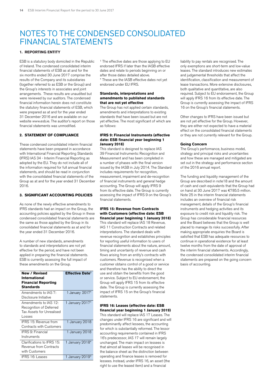## Notes to the Condensed Consolidated Financial Statements

## **1. REPORTING ENTITY**

ESB is a statutory body domiciled in the Republic of Ireland. The condensed consolidated interim financial statements of ESB as at and for the six months ended 30 June 2017 comprise the results of the Company and its subsidiaries (together referred to as ESB or the Group) and the Group's interests in associates and joint arrangements. These results are unaudited but were reviewed by our auditors. The condensed financial information herein does not constitute the statutory financial statements of ESB, which were prepared as at and for the year ended 31 December 2016 and are available on our website www.esb.ie. The auditor's report on those financial statements was unmodified.

## **2. STATEMENT OF COMPLIANCE**

These condensed consolidated interim financial statements have been prepared in accordance with International Financial Reporting Standards (IFRS) IAS 34 - Interim Financial Reporting as adopted by the EU. They do not include all of the information required for full annual financial statements, and should be read in conjunction with the consolidated financial statements of the Group as at and for the year ended 31 December 2016.

## **3. SIGNIFICANT ACCOUNTING POLICIES**

As none of the newly effective amendments to IFRS standards had an impact on the Group, the accounting policies applied by the Group in these condensed consolidated financial statements are the same as those applied by the Group in its consolidated financial statements as at and for the year ended 31 December 2016.

A number of new standards, amendments to standards and interpretations are not yet effective for the period, and have not been applied in preparing the financial statements. ESB is currently assessing the full impact of these amendments on the Group.

| <b>New / Revised</b><br><b>International</b><br><b>Financial Reporting</b><br><b>Standards</b> | Effective Date <sup>1</sup> |
|------------------------------------------------------------------------------------------------|-----------------------------|
| Amendments to IAS 7:<br>Disclosure Initiative                                                  | 1 January 2017*             |
| Amendments to IAS 12:<br>Recognition of Deferred<br>Tax Assets for Unrealised<br>Losses        | 1 January 2017*             |
| IFRS 15: Revenue from<br>Contracts with Customers                                              | 1 January 2018              |
| <b>IFRS 9: Financial</b><br>Instruments                                                        | 1 January 2018              |
| Clarifications to IFRS 15:<br>Revenue from Contracts<br>with Customers                         | 1 January 2018*             |
| IFRS 16: Leases                                                                                | 1 January 2019*             |

<sup>1</sup> The effective dates are those applying to EU endorsed IFRS if later than the IASB effective dates and relate to periods beginning on or after those dates detailed above.

\* These are the IASB effective dates not yet endorsed under EU IFRS.

#### **Standards, interpretations and amendments to published standards that are not yet effective**

The Group has not applied certain standards, amendments and interpretations to existing standards that have been issued but are not yet effective. The most significant of which are as follows:

#### **IFRS 9: Financial Instruments (effective date: ESB financial year beginning 1 January 2018)**

This standard is designed to replace IAS 39 Financial Instruments: Recognition and Measurement and has been completed in a number of phases with the final version issued by the IASB in July 2014. The Standard includes requirements for recognition, measurement, impairment and de-recognition of financial instruments and general hedge accounting. The Group will apply IFRS 9 from its effective date. The Group is currently assessing the impact of IFRS 9 on the Group's financial statements.

### **IFRS 15: Revenue from Contracts with Customers (effective date: ESB financial year beginning 1 January 2018)**

This standard will replace IAS 18 Revenue, IAS 11 Construction Contracts and related interpretations. The standard deals with revenue recognition and establishes principles for reporting useful information to users of financial statements about the nature, amount, timing and uncertainty of revenue and cash flows arising from an entity's contracts with customers. Revenue is recognised when a customer obtains control of a good or service and therefore has the ability to direct the use and obtain the benefits from the good or service. Subject to EU endorsement, the Group will apply IFRS 15 from its effective date. The Group is currently assessing the impact of IFRS 15 on the Group's financial statements.

### **IFRS 16: Leases (effective date: ESB financial year beginning 1 January 2019)**

This standard will replace IAS 17 Leases. The changes under IFRS 16 are significant and will predominantly affect lessees, the accounting for which is substantially reformed. The lessor accounting requirements contained in IFRS 16's predecessor, IAS 17 will remain largely unchanged. The main impact on lessees is that almost all leases will be recognised in the balance sheet as the distinction between operating and finance leases is removed for lessees. Instead, under IFRS 16, an asset (the right to use the leased item) and a financial

liability to pay rentals are recognised. The only exemptions are short-term and low-value leases. The standard introduces new estimates and judgemental thresholds that affect the identification, classification and measurement of lease transactions. More extensive disclosures, both qualitative and quantitative, are also required. Subject to EU endorsement, the Group will apply IFRS 16 from its effective date. The Group is currently assessing the impact of IFRS 16 on the Group's financial statements.

Other changes to IFRS have been issued but are not yet effective for the Group. However, they are either not expected to have a material effect on the consolidated financial statements or they are not currently relevant for the Group.

### **Going Concern**

The Group's performance, business model, strategy and principal risks and uncertainties and how these are managed and mitigated are set out in the strategy and performance section of the 2016 annual report.

The funding and liquidity management of the Group are described in note18 and the amount of cash and cash equivalents that the Group had on hand at 30 June 2017 was €785.5 million. Note 25 in the interim financial statements includes an overview of financial risk management, details of the Group's financial instruments and hedging activities and its exposure to credit risk and liquidity risk. The Group has considerable financial resources and the Board believes that the Group is well placed to manage its risks successfully. After making appropriate enquiries the Board is satisfied that ESB has adequate resources to continue in operational existence for at least twelve months from the date of approval of the interim financial statements. Accordingly, the condensed consolidated interim financial statements are prepared on the going concern basis of accounting.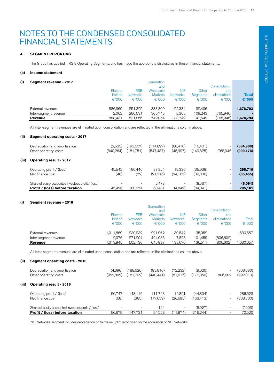## **4. SEGMENT REPORTING**

The Group has applied IFRS 8 Operating Segments, and has made the appropriate disclosures in these financial statements.

## **(a) Income statement**

| Segment revenue - 2017 |          |                   | Generation     |                 |                 |                          |              |
|------------------------|----------|-------------------|----------------|-----------------|-----------------|--------------------------|--------------|
|                        |          |                   | and            |                 |                 | Consolidation            |              |
|                        | Electric | <b>ESB</b>        | Wholesale      | <b>NIE</b>      | Other           | and                      |              |
|                        | Ireland  | <b>Networks</b>   | <b>Markets</b> | Networks'       | Segments        | eliminations             | <b>Total</b> |
|                        | € '000   | $000 \rightarrow$ | € '000         | $\epsilon$ '000 | $\epsilon$ '000 | 6000                     | € '000       |
| External revenues      | 886,369  | 251.325           | 383,309        | 125.384         | 32.406          | $\overline{\phantom{0}}$ | 1,678,793    |
| Inter-segment revenue  | 2.062    | 280.531           | 365,745        | 8.365           | 109.243         | (765.946)                |              |
| Revenue                | 888.431  | 531.856           | 749.054        | 133.749         | 141,649         | (765,946)                | 1,678,793    |
|                        |          |                   |                |                 |                 |                          |              |

All inter-segment revenues are eliminated upon consolidation and are reflected in the eliminations column above.

| (ii)  | Segment operating costs - 2017                         |                      |                        |                         |                          |                        |              |                          |
|-------|--------------------------------------------------------|----------------------|------------------------|-------------------------|--------------------------|------------------------|--------------|--------------------------|
|       | Depreciation and amortisation<br>Other operating costs | (2.625)<br>(840,264) | (193.607)<br>(181,751) | (114.897)<br>(547, 487) | (68, 416)<br>(45,997)    | (15, 421)<br>(149,625) | ۰<br>765.946 | (394, 966)<br>(999, 178) |
| (iii) | <b>Operating result - 2017</b>                         |                      |                        |                         |                          |                        |              |                          |
|       | Operating profit / (loss)<br>Net finance cost          | 45.542<br>(46)       | 180.446<br>(72)        | 87.324<br>(21,316)      | 19.336<br>(24, 185)      | (35,938)<br>(39,836)   | -            | 296,710<br>(85, 455)     |
|       | Share of equity accounted investees profit / (loss)    | -                    |                        | 2.473                   | $\overline{\phantom{a}}$ | (8,567)                |              | (6,094)                  |
|       | Profit / (loss) before taxation                        | 45.496               | 180.374                | 68.481                  | (4,849)                  | (84,341)               |              | 205,161                  |

#### **(i) Segment revenue - 2016**

|                       |                 |                 | Generation      |                       |                 |               |                 |
|-----------------------|-----------------|-----------------|-----------------|-----------------------|-----------------|---------------|-----------------|
|                       |                 |                 | and             |                       |                 | Consolidation |                 |
|                       | Electric        | <b>ESB</b>      | Wholesale       | <b>NIE</b>            | Other           | and           |                 |
|                       | Ireland         | <b>Networks</b> | <b>Markets</b>  | Networks <sup>'</sup> | <b>Segments</b> | eliminations  | Total           |
|                       | $\epsilon$ '000 | $\epsilon$ '000 | $\epsilon$ '000 | $\epsilon$ '000       | $000 \neq$      | € '000        | $\epsilon$ '000 |
|                       |                 |                 |                 |                       |                 |               |                 |
| External revenues     | 1,011,869       | 230,932         | 221.962         | 30,842                | 35,052          | -             | 1,630,657       |
| Inter-segment revenue | 2.076           | 271.204         | 424.035         | 7,828                 | 101,459         | (806, 602)    |                 |
| Revenue               | 1,013,945       | 502,136         | 645,997         | 138.670               | 136.511         | (806, 602)    | ,630,657        |

All inter-segment revenues are eliminated upon consolidation and are reflected in the eliminations column above.

### **(ii) Segment operating costs - 2016**

|       | Depreciation and amortisation<br>Other operating costs | (4.396)<br>(952.802)     | 188.626)<br>(181,702) | (93,816)<br>(440.441) | (72.232)<br>(51.617) | (9,020)<br>(172.050)   | -<br>806,602 | (368,090)<br>(992,010) |
|-------|--------------------------------------------------------|--------------------------|-----------------------|-----------------------|----------------------|------------------------|--------------|------------------------|
| (iii) | <b>Operating result - 2016</b>                         |                          |                       |                       |                      |                        |              |                        |
|       | Operating profit / (loss)<br>Net finance cost          | 56.747<br>(68)           | 148.116<br>(385)      | 111.743<br>(17,639)   | 14.821<br>(26.695)   | (44,804)<br>(163, 413) | -            | 286,623<br>(208, 200)  |
|       | Share of equity accounted investees profit / (loss)    | $\overline{\phantom{0}}$ |                       | 124                   | -                    | (8.027)                | -            | (7,903)                |
|       | Profit / (loss) before taxation                        | 56,679                   | 147.731               | 94.228                | (11.874)             | (216.244)              | -            | 70.520                 |

1 NIE Networks segment includes depreciation on fair value uplift recognised on the acquisition of NIE Networks.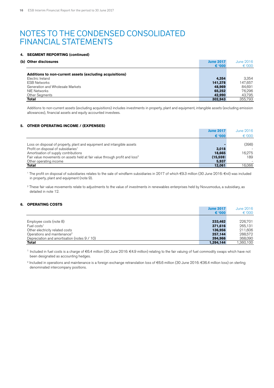## **4. SEGMENT REPORTING (continued)**

| (b) Other disclosures                                    | <b>June 2017</b><br>$000^{\circ}$ | June 2016<br>€ '000 |
|----------------------------------------------------------|-----------------------------------|---------------------|
| Additions to non-current assets (excluding acquisitions) |                                   |                     |
| Electric Ireland                                         | 4.354                             | 3.354               |
| <b>ESB Networks</b>                                      | 141.378                           | 147.657             |
| Generation and Wholesale Markets                         | 48,969                            | 84.691              |
| NIE Networks                                             | 65,252                            | 76.296              |
| Other Segments                                           | 42.990                            | 43,795              |
| Total                                                    | 302.943                           | 355,793             |

Additions to non-current assets (excluding acquisitions) includes investments in property, plant and equipment, intangible assets (excluding emission allowances), financial assets and equity accounted investees.

## **5. OTHER OPERATING INCOME / (EXPENSES)**

|                                                                                        | <b>June 2017</b> | June 2016       |
|----------------------------------------------------------------------------------------|------------------|-----------------|
|                                                                                        | 600              | $\epsilon$ '000 |
|                                                                                        |                  |                 |
| Loss on disposal of property, plant and equipment and intangible assets                |                  | (398)           |
| Profit on disposal of subsidiaries <sup>1</sup>                                        | 3.018            |                 |
| Amortisation of supply contributions                                                   | 18.665           | 16.275          |
| Fair value movements on assets held at fair value through profit and loss <sup>2</sup> | (15, 559)        | 189             |
| Other operating income                                                                 | 5.937            |                 |
| Total                                                                                  | 12,061           | 16,066          |

1 The profit on disposal of subsidiaries relates to the sale of windfarm subsidiaries in 2017 of which €9.3 million (30 June 2016: €nil) was included in property, plant and equipment (note 9).

<sup>2</sup> These fair value movements relate to adjustments to the value of investments in renewables enterprises held by Novusmodus, a subsidiary, as detailed in note 12.

## **6. OPERATING COSTS**

|                                              | <b>June 2017</b> | June 2016       |
|----------------------------------------------|------------------|-----------------|
|                                              | $000^{\circ}$    | $\epsilon$ '000 |
|                                              |                  |                 |
| Employee costs (note 8)                      | 233.462          | 226.701         |
| Fuel costs <sup>1</sup>                      | 371.616          | 265.131         |
| Other electricity related costs              | 136.956          | 211.606         |
| Operations and maintenance <sup>2</sup>      | 257.144          | 288,572         |
| Depreciation and amortisation (notes 9 / 10) | 394.966          | 368,090         |
| <b>Total</b>                                 | 1,394,144        | 1,360,100       |

1 Included in fuel costs is a charge of €6.4 million (30 June 2016: €4.9 million) relating to the fair valuing of fuel commodity swaps which have not been designated as accounting hedges.

2 Included in operations and maintenance is a foreign exchange retranslation loss of €6.6 million (30 June 2016: €36.4 million loss) on sterling denominated intercompany positions.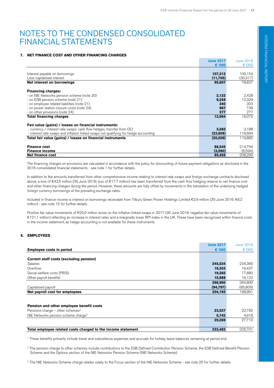## **7. NET FINANCE COST AND OTHER FINANCING CHARGES**

|                                                                                      | <b>June 2017</b> | June 2016         |
|--------------------------------------------------------------------------------------|------------------|-------------------|
|                                                                                      | $\epsilon$ '000  | $000 \rightarrow$ |
|                                                                                      |                  |                   |
| Interest payable on borrowings                                                       | 107,312          | 109,154           |
| Less capitalised interest                                                            | (11,705)         | (30,317)          |
| Net interest on borrowings                                                           | 95,607           | 78,837            |
| <b>Financing charges:</b>                                                            |                  |                   |
| - on NIE Networks pension scheme (note 20)                                           | 2,122            | 2,428             |
| - on ESB pension scheme (note 21)                                                    | 9,258            | 12,329            |
| - on employee related liabilities (note 21)                                          | 340              | 303               |
| - on power station closure costs (note 24)                                           | 967              | 738               |
| - on other provisions (note 24)                                                      | 277              | 277               |
| <b>Total financing charges</b>                                                       | 12,964           | 16,075            |
| Fair value (gains) / losses on financial instruments:                                |                  |                   |
| - currency / interest rate swaps: cash flow hedges, transfer from OCI                | 3,582            | 3,188             |
| - interest rate swaps and inflation linked swaps not qualifying for hedge accounting | (23, 608)        | 116,694           |
| Total fair value (gains) / losses on financial instruments                           | (20, 026)        | 119,882           |
|                                                                                      |                  |                   |
| <b>Finance cost</b>                                                                  | 88,545           | 214,794           |
| <b>Finance income</b>                                                                | (3,090)          | (6,594)           |
| <b>Net finance cost</b>                                                              | 85,455           | 208.200           |

The financing charges on provisions are calculated in accordance with the policy for discounting of future payment obligations as disclosed in the 2016 consolidated financial statements - see note 1 for further details.

In addition to the amounts transferred from other comprehensive income relating to interest rate swaps and foreign exchange contracts disclosed above, a loss of €43.5 million (30 June 2016: loss of €17.7 million) has been transferred from the cash flow hedging reserve to net finance cost and other financing charges during the period. However, these amounts are fully offset by movements in the translation of the underlying hedged foreign currency borrowings at the prevailing exchange rates.

Included in finance income is interest on borrowings receivable from Tilbury Green Power Holdings Limited €2.9 million (30 June 2016: €6.2 million) - see note 12 for further details.

Positive fair value movements of €25.0 million arose on the inflation linked swaps in 2017 (30 June 2016: negative fair value movements of €121.1 million) reflecting an increase in interest rates and a marginally lower RPI index in the UK. These have been recognised within finance costs in the income statement, as hedge accounting is not available for these instruments.

## **8. EMPLOYEES**

|                                                              | <b>June 2017</b> | June 2016         |
|--------------------------------------------------------------|------------------|-------------------|
| <b>Employee costs in period</b>                              | $\epsilon$ '000  | $000 \rightarrow$ |
|                                                              |                  |                   |
| Current staff costs (excluding pension)                      |                  |                   |
| <b>Salaries</b>                                              | 245,534          | 234,360           |
| Overtime                                                     | 18,203           | 16,437            |
| Social welfare costs (PRSI)                                  | 19,265           | 17,880            |
| Other payroll benefits <sup>1</sup>                          | 15,988           | 16,123            |
|                                                              | 298,990          | 284,800           |
| Capitalised payroll                                          | (94,797)         | (85,809)          |
| Net payroll cost for employees                               | 204,193          | 198,991           |
|                                                              |                  |                   |
|                                                              |                  |                   |
| Pension and other employee benefit costs                     |                  |                   |
| Pensions charge – other schemes <sup>2</sup>                 | 23,527           | 22,792            |
| NIE Networks pension scheme charge <sup>3</sup>              | 5,742            | 4,918             |
|                                                              | 29,269           | 27,710            |
|                                                              |                  |                   |
| Total employee related costs charged to the income statement | 233,462          | 226,701           |

1 These benefits primarily include travel and subsistence expenses and accruals for holiday leave balances remaining at period end.

<sup>2</sup> The pension charge to other schemes include contributions to the ESB Defined Contribution Pension Scheme, the ESB Defined Benefit Pension Scheme and the Options section of the NIE Networks Pension Scheme (NIE Networks Scheme).

<sup>3</sup> The NIE Networks Scheme charge relates solely to the Focus section of the NIE Networks Scheme - see note 20 for further details.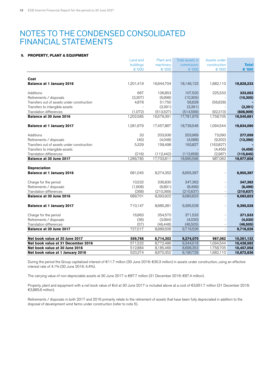## Notes to the Condensed Consolidated Financial Statements

#### **9. PROPERTY, PLANT & EQUIPMENT**

|                                            | Land and  | Plant and  | Total assets in | Assets under             |              |
|--------------------------------------------|-----------|------------|-----------------|--------------------------|--------------|
|                                            | buildings | machinery  | commission      | construction             | <b>Total</b> |
|                                            | € '000    | € '000     | € '000          | € '000                   | € '000       |
|                                            |           |            |                 |                          |              |
| Cost                                       |           |            |                 |                          |              |
| <b>Balance at 1 January 2016</b>           | 1,201,419 | 16,944,704 | 18,146,123      | 1,682,110                | 19,828,233   |
|                                            |           |            |                 |                          |              |
| Additions                                  | 667       | 106,853    | 107,520         | 225,533                  | 333,053      |
| Retirements / disposals                    | (3,307)   | (6,998)    | (10, 305)       |                          | (10, 305)    |
| Transfers out of assets under construction | 4,878     | 51,750     | 56,628          | (56, 628)                |              |
| Transfers to intangible assets             |           | (3,391)    | (3,391)         |                          | (3, 391)     |
| Translation differences                    | (1,072)   | (513,527)  | (514, 599)      | (92,310)                 | (606, 909)   |
| Balance at 30 June 2016                    | 1,202,585 | 16,579,391 | 17,781,976      | 1,758,705                | 19,540,681   |
|                                            | 1,281,679 | 17,457,867 | 18,739,546      | 1,094,544                | 19,834,090   |
| <b>Balance at 1 January 2017</b>           |           |            |                 |                          |              |
| Additions                                  | 33        | 203,936    | 203,969         | 73,090                   | 277,059      |
| Retirements / disposals                    | (40)      | (4,048)    | (4,088)         | (9,302)                  | (13, 390)    |
| Transfers out of assets under construction | 5,329     | 158,498    | 163,827         | (163,827)                |              |
| Transfers to intangible assets             |           |            |                 | (4,456)                  | (4, 456)     |
| Translation differences                    | (216)     | (112, 442) | (112,658)       | (2,987)                  | (115, 645)   |
| Balance at 30 June 2017                    | 1,286,785 | 17,703,811 | 18,990,596      | 987,062                  | 19,977,658   |
|                                            |           |            |                 |                          |              |
| <b>Depreciation</b>                        |           |            |                 |                          |              |
| <b>Balance at 1 January 2016</b>           | 681,045   | 8,274,352  | 8,955,397       |                          | 8,955,397    |
|                                            |           |            |                 |                          |              |
| Charge for the period                      | 10,532    | 336,830    | 347,362         |                          | 347,362      |
| Retirements / disposals                    | (1,608)   | (6,891)    | (8,499)         |                          | (8, 499)     |
| Translation differences                    | (268)     | (210, 369) | (210, 637)      |                          | (210, 637)   |
| Balance at 30 June 2016                    | 689,701   | 8,393,922  | 9,083,623       | $\bar{\phantom{a}}$      | 9,083,623    |
|                                            |           |            |                 |                          |              |
| <b>Balance at 1 January 2017</b>           | 710,147   | 8,685,381  | 9,395,528       |                          | 9,395,528    |
|                                            |           |            |                 |                          |              |
| Charge for the period                      | 16,963    | 354,570    | 371,533         |                          | 371,533      |
| Retirements / disposals                    | (36)      | (3,994)    | (4,030)         | ÷.                       | (4,030)      |
| Translation differences                    | (57)      | (46, 448)  | (46,505)        | $\overline{\phantom{a}}$ | (46, 505)    |
| Balance at 30 June 2017                    | 727,017   | 8,989,509  | 9,716,526       | $\overline{\phantom{a}}$ | 9,716,526    |
|                                            |           |            |                 |                          |              |
| Net book value at 30 June 2017             | 559,768   | 8,714,302  | 9,274,070       | 987,062                  | 10,261,132   |
| Net book value at 31 December 2016         | 571,532   | 8,772,486  | 9,344,018       | 1,094,544                | 10,438,562   |
| Net book value at 30 June 2016             | 512,884   | 8,185,469  | 8,698,353       | 1,758,705                | 10,457,058   |
| Net book value at 1 January 2016           | 520,374   | 8,670,352  | 9,190,726       | 1,682,110                | 10,872,836   |

During the period the Group capitalised interest of €11.7 million (30 June 2016: €30.3 million) in assets under construction, using an effective interest rate of 4.1% (30 June 2016: 4.4%).

The carrying value of non-depreciable assets at 30 June 2017 is €87.7 million (31 December 2016: €87.4 million).

Property, plant and equipment with a net book value of €nil at 30 June 2017 is included above at a cost of €3,951.7 million (31 December 2016: €3,885.6 million).

Retirements / disposals in both 2017 and 2016 primarily relate to the retirement of assets that have been fully depreciated in addition to the disposal of development wind farms under construction (refer to note 5).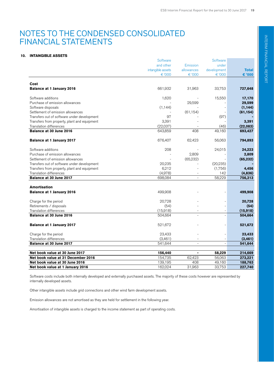## **10. INTANGIBLE ASSETS**

|                                              | Software          |                          | Software       |              |
|----------------------------------------------|-------------------|--------------------------|----------------|--------------|
|                                              | and other         | Emission                 | under          |              |
|                                              | intangible assets | allowances               | development    | <b>Total</b> |
|                                              | € '000            | € '000                   | € '000         | € '000       |
|                                              |                   |                          |                |              |
| Cost                                         |                   |                          |                |              |
| <b>Balance at 1 January 2016</b>             | 661,932           | 31,963                   | 33,753         | 727,648      |
| Software additions                           | 1,620             |                          | 15,550         | 17,170       |
| Purchase of emission allowances              |                   | 29,599                   |                | 29,599       |
| Software disposals                           | (1, 144)          |                          | L,             | (1, 144)     |
| Settlement of emission allowances            |                   | (61, 154)                |                | (61, 154)    |
| Transfers out of software under development  | 97                |                          | (97)           |              |
| Transfers from property, plant and equipment | 3,391             |                          |                | 3,391        |
| Translation differences                      | (22,037)          |                          | (46)           | (22, 083)    |
| Balance at 30 June 2016                      | 643,859           | 408                      | 49,160         | 693,427      |
| <b>Balance at 1 January 2017</b>             | 676,407           | 62,423                   | 56,063         | 794,893      |
| Software additions                           | 208               |                          | 24,015         | 24,223       |
| Purchase of emission allowances              |                   | 2,809                    |                | 2,809        |
| Settlement of emission allowances            |                   | (65, 232)                |                | (65, 232)    |
| Transfers out of software under development  | 20,235            |                          | (20, 235)      |              |
| Transfers from property, plant and equipment | 6,212             |                          | (1,756)        | 4,456        |
| Translation differences                      | (4,978)           |                          | 142            | (4,836)      |
| Balance at 30 June 2017                      | 698,084           | $\overline{\phantom{a}}$ | 58,229         | 756,313      |
|                                              |                   |                          |                |              |
| <b>Amortisation</b>                          |                   |                          |                |              |
| <b>Balance at 1 January 2016</b>             | 499,908           |                          |                | 499,908      |
| Charge for the period                        | 20,728            |                          |                | 20,728       |
| Retirements / disposals                      | (54)              |                          |                | (54)         |
| Translation differences                      | (15,918)          |                          |                | (15, 918)    |
| Balance at 30 June 2016                      | 504,664           |                          |                | 504,664      |
| <b>Balance at 1 January 2017</b>             | 521,672           |                          |                | 521,672      |
| Charge for the period                        | 23,433            |                          |                | 23,433       |
| Translation differences                      | (3,461)           |                          |                | (3, 461)     |
| Balance at 30 June 2017                      | 541,644           | $\overline{a}$           | $\overline{a}$ | 541,644      |
|                                              |                   |                          |                |              |
| Net book value at 30 June 2017               | 156,440           | $\blacksquare$           | 58,229         | 214,669      |
| Net book value at 31 December 2016           | 154,735           | 62,423                   | 56,063         | 273.221      |
| Net book value at 30 June 2016               | 139,195           | 408                      | 49,160         | 188,763      |
| Net book value at 1 January 2016             | 162,024           | 31,963                   | 33,753         | 227,740      |

Software costs include both internally developed and externally purchased assets. The majority of these costs however are represented by internally developed assets.

Other intangible assets include grid connections and other wind farm development assets.

Emission allowances are not amortised as they are held for settlement in the following year.

Amortisation of intangible assets is charged to the income statement as part of operating costs.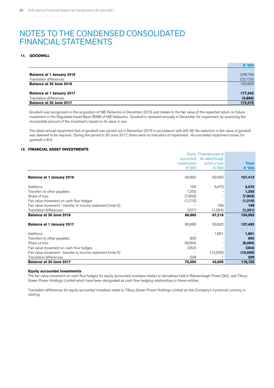### **11. GOODWILL**

|                                  | 000'      |
|----------------------------------|-----------|
|                                  |           |
| <b>Balance at 1 January 2016</b> | 206,759   |
| Translation differences          | (23, 153) |
| Balance at 30 June 2016          | 183,606   |
|                                  |           |
| <b>Balance at 1 January 2017</b> | 177,242   |
| Translation differences          | (4,666)   |
| Balance at 30 June 2017          | 172,576   |

Goodwill was recognised on the acquisition of NIE Networks in December 2010, and relates to the fair value of the expected return on future investment in the Regulated Asset Base (RAB) of NIE Networks. Goodwill is reviewed annually in December for impairment, by assessing the recoverable amount of the investment, based on its value in use.

The latest annual impairment test of goodwill was carried out in December 2016 in accordance with IAS 36. No reduction in the value of goodwill was deemed to be required. During the period to 30 June 2017, there were no indicators of impairment. Accumulated impairment losses for goodwill is €nil.

## **12. FINANCIAL ASSET INVESTMENTS**

|                                                             |                 | Equity Financial assets at |              |
|-------------------------------------------------------------|-----------------|----------------------------|--------------|
|                                                             | accounted       | fair value through         |              |
|                                                             | investments     | profit or loss             | <b>Total</b> |
|                                                             | $\epsilon$ '000 | $\epsilon$ '000            | € '000       |
| <b>Balance at 1 January 2016</b>                            | 94,850          | 62,563                     | 157,413      |
| Additions                                                   | 100             | 5,470                      | 5,570        |
| Transfers to other payables                                 | 1,355           |                            | 1,355        |
| Share of loss                                               | (7,903)         |                            | (7,903)      |
| Fair value movement on cash flow hedges                     | (1,210)         |                            | (1, 210)     |
| Fair value movement - transfer to income statement (note 5) |                 | 189                        | 189          |
| Translation differences                                     | (327)           | (1,004)                    | (1, 331)     |
| Balance at 30 June 2016                                     | 86,865          | 67,218                     | 154,083      |
| <b>Balance at 1 January 2017</b>                            | 80,990          | 56,502                     | 137,492      |
| Additions                                                   |                 | 1,661                      | 1,661        |
| Transfers to other payables                                 | 800             |                            | 800          |
| Share of loss                                               | (6,094)         |                            | (6,094)      |
| Fair value movement on cash flow hedges                     | (354)           |                            | (354)        |
| Fair value movement - transfer to income statement (note 5) |                 | (15,559)                   | (15, 559)    |
| Translation differences                                     | 208             |                            | 209          |
| Balance at 30 June 2017                                     | 75,550          | 42,605                     | 118,155      |

#### **Equity accounted investments**

The fair value movement on cash flow hedges for equity accounted investees relates to derivatives held in Raheenleagh Power DAC, and Tilbury Green Power Holdings Limited which have been designated as cash flow hedging relationships in these entities.

Translation differences for equity accounted investees relate to Tilbury Green Power Holdings Limited as this Company's functional currency is sterling.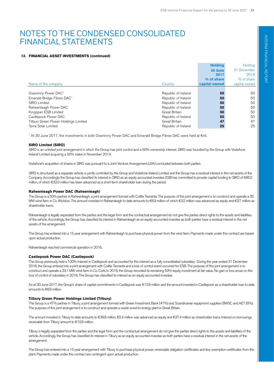## Notes to the Condensed Consolidated Financial Statements

### **12. FINANCIAL ASSET INVESTMENTS (continued)**

|                                        |                      | <b>Holding</b> | Holding       |
|----------------------------------------|----------------------|----------------|---------------|
|                                        |                      | 30 June        | 31 December   |
|                                        |                      | 2017           | 2016          |
|                                        |                      | % of share     | % of share    |
| Name of the company                    | Country              | capital owned  | capital owned |
|                                        |                      |                |               |
| Oweninny Power DAC <sup>1</sup>        | Republic of Ireland  | 50             | 50            |
| Emerald Bridge Fibres DAC <sup>1</sup> | Republic of Ireland  | 50             | 50            |
| SIRO Limited                           | Republic of Ireland  | 50             | 50            |
| Raheenleagh Power DAC                  | Republic of Ireland  | 50             | 50            |
| Kingspan ESB Limited                   | Great Britain        | 50             | 50            |
| Castlepook Power DAC                   | Republic of Ireland  | 50             | 50            |
| Tilbury Green Power Holdings Limited   | <b>Great Britain</b> | 47             | 47            |
| Terra Solar Limited                    | Republic of Ireland  | 25             | 25            |

1 At 30 June 2017, the investments in both Oweninny Power DAC and Emerald Bridge Fibres DAC were held at €nil.

#### **SIRO Limited (SIRO)**

SIRO is an unlisted joint arrangement in which the Group has joint control and a 50% ownership interest. SIRO was founded by the Group with Vodafone Ireland Limited acquiring a 50% stake in November 2014.

Vodafone's acquisition of shares in SIRO was pursuant to a Joint Venture Arrangement (JVA) concluded between both parties.

SIRO is structured as a separate vehicle, is jointly controlled by the Group and Vodafone Ireland Limited and the Group has a residual interest in the net assets of the Company. Accordingly, the Group has classified its interest in SIRO as an equity accounted investee. ESB has committed to provide capital funding to SIRO of €85.0 million, of which €32.0 million has been advanced as a short-term shareholder loan during the period.

#### **Raheenleagh Power DAC (Raheenleagh)**

The Group is a 50% partner in Raheenleagh, a joint arrangement formed with Coillte Teoranta. The purpose of this joint arrangement is to construct and operate a 35 MW wind farm in Co. Wicklow. The amount invested in Raheenleagh to date amounts to €6.9 million of which €3.2 million was advanced as equity and €3.7 million as shareholder loans.

Raheenleagh is legally separated from the parties and the legal form and the contractual arrangement do not give the parties direct rights to the assets and liabilities of the vehicle. Accordingly, the Group has classified its interest in Raheenleagh as an equity accounted investee as both parties have a residual interest in the net assets of the arrangement.

The Group has entered into a 15 year arrangement with Raheenleagh to purchase physical power from the wind farm. Payments made under this contract are based upon actual production.

Raheenleagh reached commercial operation in 2016.

#### **Castlepook Power DAC (Castlepook)**

The Group previously held a 100% interest in Castlepook and accounted for this interest as a fully consolidated subsidiary. During the year ended 31 December 2016, the Group entered into a joint arrangement with Coillte Teoranta and a loss of control event occurred for ESB. The purpose of this joint arrangement is to construct and operate a 33.1 MW wind farm in Co. Cork. In 2016, the Group recorded its remaining 50% equity investment at fair value. No gain or loss arose on the loss of control of subsidiary in 2016. The Group has classified its interest as an equity accounted investee.

As at 30 June 2017, the Group's share of capital commitments in Castlepook was €12.9 million and the amount invested in Castlepook as a shareholder loan to date amounts to €6.9 million.

#### **Tilbury Green Power Holdings Limited (Tilbury)**

The Group is a 47% partner in Tilbury, a joint arrangement formed with Green Investment Bank (47%) and Scandinavian equipment suppliers BWSC and AET (6%). The purpose of this joint arrangement is to construct and operate a waste wood to energy plant in Great Britain.

The amount invested in Tilbury to date amounts to €39.8 million, €2.4 million was advanced as equity and €37.4 million as shareholder loans. Interest on borrowings receivable from Tilbury amount to €10.9 million.

Tilbury is legally separated from the parties and the legal form and the contractual arrangement do not give the parties direct rights to the assets and liabilities of the vehicle. Accordingly, the Group has classified its interest in Tilbury as an equity accounted investee as both parties have a residual interest in the net assets of the arrangement.

The Group has entered into a 15-year arrangement with Tilbury to purchase physical power, renewable obligation certificates and levy exemption certificates from the plant. Payments made under this contract are contingent upon actual production.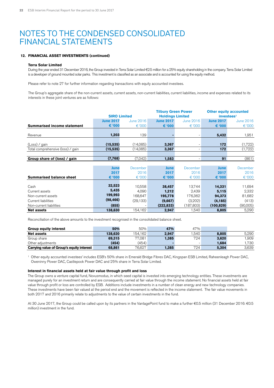### **12. FINANCIAL ASSET INVESTMENTS (continued)**

#### **Terra Solar Limited**

During the year ended 31 December 2016, the Group invested in Terra Solar Limited €2.5 million for a 25% equity shareholding in the company. Terra Solar Limited is a developer of ground mounted solar parks. This investment is classified as an associate and is accounted for using the equity method.

Please refer to note 27 for further information regarding transactions with equity accounted investees.

The Group's aggregate share of the non-current assets, current assets, non-current liabilities, current liabilities, income and expenses related to its interests in these joint ventures are as follows:

|                                    | <b>SIRO Limited</b> |                 | <b>Tilbury Green Power</b><br><b>Holdings Limited</b> |                 |                  | <b>Other equity accounted</b><br>investees <sup>1</sup> |
|------------------------------------|---------------------|-----------------|-------------------------------------------------------|-----------------|------------------|---------------------------------------------------------|
|                                    |                     |                 |                                                       |                 |                  |                                                         |
|                                    | <b>June 2017</b>    | June 2016       | <b>June 2017</b>                                      | June 2016       | <b>June 2017</b> | <b>June 2016</b>                                        |
| <b>Summarised income statement</b> | € '000              | € '000          | $600 \div 3$                                          | € '000          | $\epsilon$ '000  | $\epsilon$ '000                                         |
|                                    |                     |                 |                                                       |                 |                  |                                                         |
| Revenue                            | 1,203               | 139             |                                                       |                 | 5,432            | 1,951                                                   |
|                                    |                     |                 |                                                       |                 |                  |                                                         |
| (Loss) / gain                      | (15, 535)           | (14,085)        | 3,367                                                 |                 | 172              | (1,722)                                                 |
| Total comprehensive (loss) / gain  | (15, 535)           | (14,085)        | 3,367                                                 |                 | 172              | (1,722)                                                 |
|                                    |                     |                 |                                                       |                 |                  |                                                         |
| Group share of (loss) / gain       | (7,768)             | (7,042)         | 1,583                                                 |                 | 91               | (861)                                                   |
|                                    |                     |                 |                                                       |                 |                  |                                                         |
|                                    | <b>June</b>         | December        | <b>June</b>                                           | December        | <b>June</b>      | December                                                |
|                                    | 2017                | 2016            | 2017                                                  | 2016            | 2017             | 2016                                                    |
| <b>Summarised balance sheet</b>    | € '000              | $\epsilon$ '000 | $600 \div 3$                                          | $\epsilon$ '000 | € '000           | $000 \text{ } \infty$                                   |
|                                    |                     |                 |                                                       |                 |                  |                                                         |
| Cash                               | 32,523              | 10,558          | 38,457                                                | 13,744          | 14,331           | 11,694                                                  |
| Current assets                     | 5,435               | 4,090           | 1,212                                                 | 2,439           | 5,115            | 2,332                                                   |
| Non-current assets                 | 199,993             | 168,647         | 195,778                                               | 176,362         | 94,373           | 81,682                                                  |
| Current liabilities                | (98, 466)           | (29, 133)       | (9,667)                                               | (3,202)         | (4, 185)         | (413)                                                   |
| Non-current liabilities            | (855)               |                 | (222, 833)                                            | (187,803)       | (100, 829)       | (90,005)                                                |
| <b>Net assets</b>                  | 138,630             | 154,162         | 2,947                                                 | 1,540           | 8,805            | 5,290                                                   |

Reconciliation of the above amounts to the investment recognised in the consolidated balance sheet.

| <b>Group equity interest</b>              | 50%     | 50%     | 47%   | 47%                      |       |       |
|-------------------------------------------|---------|---------|-------|--------------------------|-------|-------|
| <b>Net assets</b>                         | 138,630 | 154.162 | 2.947 | .540                     | 8.805 | 5.290 |
| Group share                               | 69.315  | 77.081  | 1,385 | 724                      | 3.620 | ,909  |
| Other adiustments                         | (454)   | (454)   |       | $\overline{\phantom{0}}$ | 1.684 | 1.730 |
| Carrying value of Group's equity interest | 68.861  | 76.627  | 1,385 | 724                      | 5.304 | 3.639 |

1 Other equity accounted investees' includes ESB's 50% share in Emerald Bridge Fibres DAC, Kingspan ESB Limited, Raheenleagh Power DAC, Oweninny Power DAC, Castlepook Power DAC and 25% share in Terra Solar Limited.

## **Interest in financial assets held at fair value through profit and loss**

The Group owns a venture capital fund, Novusmodus, in which seed capital is invested into emerging technology entities. These investments are managed purely for an investment return and are consequently carried at fair value through the income statement. No financial assets held at fair value through profit or loss are controlled by ESB. Additions include investments in a number of clean energy and new technology companies. These investments have been fair valued at the period end and the movement is reflected in the income statement. The fair value movements in both 2017 and 2016 primarily relate to adjustments to the value of certain investments in the fund.

At 30 June 2017, the Group could be called upon by its partners in the VantagePoint fund to make a further €0.5 million (31 December 2016: €0.5 million) investment in the fund.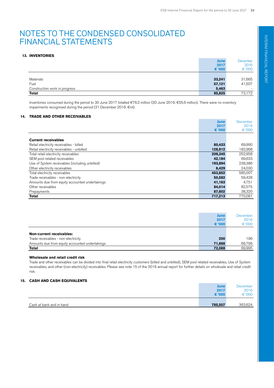## **13. INVENTORIES**

|                               | <b>June</b><br>2017<br>$000^{\circ}$ | December<br>2016<br>6000 |
|-------------------------------|--------------------------------------|--------------------------|
|                               |                                      |                          |
| Materials                     | 33,241                               | 31,665                   |
| Fuel                          | 57,121                               | 41,507                   |
| Construction work in progress | 5,463                                |                          |
| <b>Total</b>                  | 95,825                               | 73,172                   |

Inventories consumed during the period to 30 June 2017 totalled €76.3 million (30 June 2016: €55.6 million). There were no inventory impairments recognised during the period (31 December 2016: €nil).

### **14. TRADE AND OTHER RECEIVABLES**

|                                                | June<br>2017<br>€ '000 | December<br>2016<br>$\epsilon$ '000 |
|------------------------------------------------|------------------------|-------------------------------------|
|                                                |                        |                                     |
| <b>Current receivables</b>                     |                        |                                     |
| Retail electricity receivables - billed        | 80,433                 | 69,990                              |
| Retail electricity receivables - unbilled      | 128,912                | 182,968                             |
| Total retail electricity receivables           | 209,345                | 252,958                             |
| SEM pool related receivables                   | 42,184                 | 69,633                              |
| Use of System receivables (including unbilled) | 193.894                | 238,386                             |
| Other electricity receivables                  | 8,429                  | 24,030                              |
| Total electricity receivables                  | 453,852                | 585,007                             |
| Trade receivables - non-electricity            | 50,582                 | 59,428                              |
| Amounts due from equity accounted undertakings | 41,163                 | 4,751                               |
| Other receivables                              | 84,014                 | 82,575                              |
| Prepayments                                    | 87,602                 | 38,320                              |
| <b>Total</b>                                   | 717,213                | 770,081                             |

|                                                | <b>June</b><br>2017<br>$\epsilon$ '000 | December<br>2016<br>$\epsilon$ '000 |
|------------------------------------------------|----------------------------------------|-------------------------------------|
| Non-current receivables:                       |                                        |                                     |
| Trade receivables - non-electricity            | 200                                    | 196                                 |
| Amounts due from equity accounted undertakings | 71.888                                 | 69,799                              |
| <b>Total</b>                                   | 72,088                                 | 69.995                              |

#### **Wholesale and retail credit risk**

Trade and other receivables can be divided into final retail electricity customers (billed and unbilled), SEM pool related receivables, Use of System receivables, and other (non-electricity) receivables. Please see note 15 of the 2016 annual report for further details on wholesale and retail credit risk.

## **15. CASH AND CASH EQUIVALENTS**

|                          | <b>June</b>  | December   |
|--------------------------|--------------|------------|
|                          | 2017         | 2016       |
|                          | $600 \div 3$ | $000 \neq$ |
|                          |              |            |
| Cash at bank and in hand | 785.507      | 363.624    |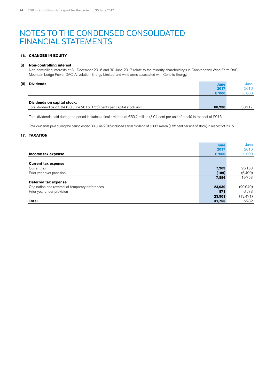#### **16. CHANGES IN EQUITY**

### **(i) Non-controlling interest**

Non-controlling interests at 31 December 2016 and 30 June 2017 relate to the minority shareholdings in Crockahenny Wind Farm DAC, Mountain Lodge Power DAC, Airvolution Energy Limited and windfarms associated with Coriolis Energy.

| (ii) | <b>Dividends</b>                                                           | <b>June</b>  | June    |
|------|----------------------------------------------------------------------------|--------------|---------|
|      |                                                                            | 2017         | 2016    |
|      |                                                                            | $600 \div 3$ | € '000' |
|      |                                                                            |              |         |
|      | Dividends on capital stock:                                                |              |         |
|      | Total dividend paid 3.04 (30 June 2016: 1.55) cents per capital stock unit | 60.230       | 30,717  |

Total dividends paid during the period includes a final dividend of €60.2 million (3.04 cent per unit of stock) in respect of 2016.

Total dividends paid during the period ended 30 June 2016 included a final dividend of €30.7 million (1.55 cent per unit of stock) in respect of 2015.

## **17. TAXATION**

|                                                   | <b>June</b>     | June     |
|---------------------------------------------------|-----------------|----------|
|                                                   | 2017            | 2016     |
| Income tax expense                                | $\epsilon$ '000 | 6000     |
|                                                   |                 |          |
| <b>Current tax expense</b>                        |                 |          |
| Current tax                                       | 7,963           | 26,153   |
| Prior year over provision                         | (109)           | (6,400)  |
|                                                   | 7,854           | 19,753   |
| Deferred tax expense                              |                 |          |
| Origination and reversal of temporary differences | 23,030          | (20,049) |
| Prior year under provision                        | 871             | 6,578    |
|                                                   | 23,901          | (13,471) |
| Total                                             | 31,755          | 6,282    |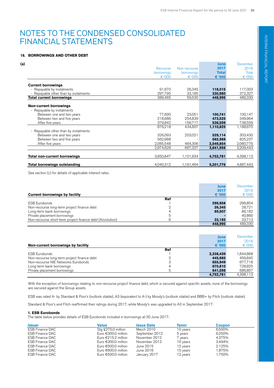## **18. BORROWINGS AND OTHER DEBT**

**(a)**

|                                       |                 |                   | <b>June</b>  | December        |
|---------------------------------------|-----------------|-------------------|--------------|-----------------|
|                                       | Recourse        | Non-recourse      | 2017         | 2016            |
|                                       | borrowings      | borrowings        | <b>Total</b> | Total           |
|                                       | $\epsilon$ '000 | $000 \rightarrow$ | 600          | $\epsilon$ '000 |
|                                       |                 |                   |              |                 |
| <b>Current borrowings</b>             |                 |                   |              |                 |
| - Repayable by instalments            | 91.670          | 26,345            | 118,015      | 117,003         |
| - Repayable other than by instalments | 297,795         | 33,185            | 330,980      | 372,327         |
| <b>Total current borrowings</b>       | 389,465         | 59,530            | 448,995      | 489,330         |
|                                       |                 |                   |              |                 |
| <b>Non-current borrowings</b>         |                 |                   |              |                 |
| - Repayable by instalments            |                 |                   |              |                 |
| Between one and two years             | 77,690          | 23,051            | 100,741      | 100,147         |
| Between two and five years            | 218,686         | 254,839           | 473,525      | 349,964         |
| After five years                      | 379,842         | 156,717           | 536,559      | 738,559         |
|                                       | 676,218         | 434.607           | 1,110,825    | 1,188,670       |
| - Repayable other than by instalments |                 |                   |              |                 |
| Between one and two years             | 326.093         | 203,021           | 529,114      | 303,430         |
| Between two and five years            | 562.988         |                   | 562,988      | 825,237         |
| After five years                      | 2,085,548       | 464,306           | 2,549,854    | 2,080,776       |
|                                       | 2,974,629       | 667,327           | 3,641,956    | 3,209,443       |
|                                       |                 |                   |              |                 |
| <b>Total non-current borrowings</b>   | 3,650,847       | 1,101,934         | 4,752,781    | 4,398,113       |
| <b>Total borrowings outstanding</b>   | 4,040,312       | 1,161,464         | 5,201,776    | 4,887,443       |

See section (c) for details of applicable interest rates.

|                                                            |     | <b>June</b>     | December        |
|------------------------------------------------------------|-----|-----------------|-----------------|
|                                                            |     | 2017            | 2016            |
| Current borrowings by facility                             |     | $\epsilon$ '000 | $\epsilon$ '000 |
|                                                            | Ref |                 |                 |
| <b>ESB Eurobonds</b>                                       |     | 299.958         | 299.854         |
| Non-recourse long-term project finance debt                |     | 26.345          | 28.721          |
| Long-term bank borrowings                                  |     | 89.507          | 86.182          |
| Private placement borrowings                               |     |                 | 40.860          |
| Non-recourse short-term project finance debt (Airvolution) |     | 33.185          | 33,713          |
|                                                            |     | 448.995         | 489,330         |

|                                             |     | <b>June</b><br>2017 | <b>December</b><br>2016 |
|---------------------------------------------|-----|---------------------|-------------------------|
| Non-current borrowings by facility          |     | $\epsilon$ '000     | $\epsilon$ '000         |
|                                             | Ref |                     |                         |
| <b>ESB Eurobonds</b>                        |     | 2,338,439           | 1,844,868               |
| Non-recourse long-term project finance debt |     | 445.985             | 459.845                 |
| Non-recourse NIE Networks Eurobonds         |     | 655,949             | 677.718                 |
| Long-term bank borrowings                   |     | 670.810             | 728.825                 |
| Private placement borrowings                |     | 641.598             | 686.857                 |
|                                             |     | 4,752,781           | 4.398.113               |

With the exception of borrowings relating to non-recourse project finance debt, which is secured against specific assets, none of the borrowings are secured against the Group assets.

ESB was rated A- by Standard & Poor's (outlook stable), A3 (equivalent to A-) by Moody's (outlook stable) and BBB+ by Fitch (outlook stable).

Standard & Poor's and Fitch reaffirmed their ratings during 2017, while Moody's was upgraded to A3 in September 2017.

#### **1. ESB Eurobonds**

The table below provides details of ESB Eurobonds included in borrowings at 30 June 2017:

| <b>Issuer</b>          | Value                         | <b>Issue Date</b> | <b>Tenor</b> | <b>Coupon</b> |
|------------------------|-------------------------------|-------------------|--------------|---------------|
| <b>ESB Finance DAC</b> | Stg £275.0 million            | March 2010        | 10 years     | 6.500%        |
| <b>ESB Finance DAC</b> | Euro €300.0 million           | September 2012    | 5 years      | 6.250%        |
| <b>ESB Finance DAC</b> | Euro €215.2 million           | November 2012     | 7 years      | 4.375%        |
| <b>ESB Finance DAC</b> | Euro €300.0 million           | November 2013     | 10 years     | 3.494%        |
| <b>ESB Finance DAC</b> | Euro €500.0 million           | June 2015         | 12 years     | 2.125%        |
| <b>ESB Finance DAC</b> | Euro €600.0 million           | June 2016         | 15 years     | 1.875%        |
| <b>ESB Finance DAC</b> | Euro $\epsilon$ 500.0 million | January 2017      | 12 years     | 1.750%        |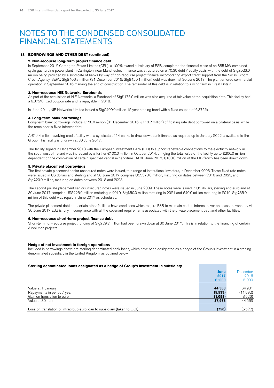### **18. BORROWINGS AND OTHER DEBT (continued)**

#### **2. Non-recourse long-term project finance debt**

In September 2012 Carrington Power Limited (CPL), a 100% owned subsidiary of ESB, completed the financial close of an 885 MW combined cycle gas turbine power plant in Carrington, near Manchester. Finance was structured on a 70:30 debt / equity basis, with the debt of Stg£523.0 million being provided by a syndicate of banks by way of non-recourse project finance, incorporating export credit support from the Swiss Export Credit Agency, SERV. Stg£406.8 million (31 December 2016: Stg£420.1 million) debt was drawn at 30 June 2017. The plant entered commercial operation in September 2016 marking the end of construction. The remainder of this debt is in relation to a wind farm in Great Britain.

#### **3. Non-recourse NIE Networks Eurobonds**

As part of the acquisition of NIE Networks, a Eurobond of Stg£175.0 million was also acquired at fair value at the acquisition date. This facility had a 6.875% fixed coupon rate and is repayable in 2018.

In June 2011, NIE Networks Limited issued a Stg£400.0 million 15 year sterling bond with a fixed coupon of 6.375%.

#### **4. Long-term bank borrowings**

Long-term bank borrowings include €150.0 million (31 December 2016: €113.2 million) of floating rate debt borrowed on a bilateral basis, while the remainder is fixed interest debt.

A €1.44 billion revolving credit facility with a syndicate of 14 banks to draw down bank finance as required up to January 2022 is available to the Group. This facility is undrawn at 30 June 2017.

The facility signed in December 2013 with the European Investment Bank (EIB) to support renewable connections to the electricity network in the southwest of Ireland was increased by a further €100.0 million in October 2014, bringing the total value of the facility up to €200.0 million dependent on the completion of certain specified capital expenditure. At 30 June 2017, €100.0 million of the EIB facility has been drawn down.

#### **5. Private placement borrowings**

The first private placement senior unsecured notes were issued, to a range of institutional investors, in December 2003. These fixed rate notes were issued in US dollars and sterling and at 30 June 2017 comprise US\$370.0 million, maturing on dates between 2018 and 2023, and Sta£20.0 million, maturing on dates between 2018 and 2023.

The second private placement senior unsecured notes were issued in June 2009. These notes were issued in US dollars, sterling and euro and at 30 June 2017 comprise US\$226.0 million maturing in 2019, Stg£50.0 million maturing in 2021 and €40.0 million maturing in 2019. Stg£35.0 million of this debt was repaid in June 2017 as scheduled.

The private placement debt and certain other facilities have conditions which require ESB to maintain certain interest cover and asset covenants. At 30 June 2017 ESB is fully in compliance with all the covenant requirements associated with the private placement debt and other facilities.

#### **6. Non-recourse short-term project finance debt**

Short-term non-recourse project funding of Stg£29.2 million had been drawn down at 30 June 2017. This is in relation to the financing of certain Airvolution projects.

#### **Hedge of net investment in foreign operations**

Included in borrowings above are sterling denominated bank loans, which have been designated as a hedge of the Group's investment in a sterling denominated subsidiary in the United Kingdom, as outlined below.

#### **Sterling denominated loans designated as a hedge of Group's investment in subsidiary**

|                                                                          | <b>June</b><br>2017<br>$000 \rightarrow$ | December<br>2016<br>$\epsilon$ '000 |
|--------------------------------------------------------------------------|------------------------------------------|-------------------------------------|
|                                                                          |                                          |                                     |
| Value at 1 January                                                       | 44.563                                   | 64.981                              |
| Repayments in period / year                                              | (5,539)                                  | (11,892)                            |
| Gain on translation to euro                                              | (1,058)                                  | (8,526)                             |
| Value at 30 June                                                         | 37,966                                   | 44,563                              |
|                                                                          |                                          |                                     |
| Loss on translation of intragroup euro loan to subsidiary (taken to OCI) | (750)                                    | (5,522)                             |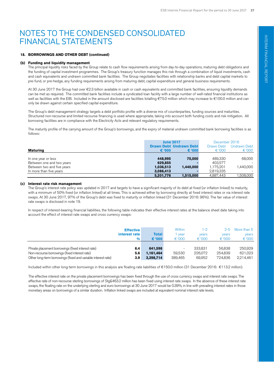## **18. BORROWINGS AND OTHER DEBT (continued)**

#### **(b) Funding and liquidity management**

The principal liquidity risks faced by the Group relate to cash flow requirements arising from day-to-day operations, maturing debt obligations and the funding of capital investment programmes. The Group's treasury function manages this risk through a combination of liquid investments, cash and cash equivalents and undrawn committed bank facilities. The Group negotiates facilities with relationship banks and debt capital markets to pre-fund, or pre-hedge, any funding requirements arising from maturing debt, capital expenditure and general business requirements.

At 30 June 2017 the Group had over €2.3 billion available in cash or cash equivalents and committed bank facilities, ensuring liquidity demands can be met as required. The committed bank facilities include a syndicated loan facility with a large number of well-rated financial institutions as well as facilities with the EIB. Included in the amount disclosed are facilities totalling €75.0 million which may increase to €100.0 million and can only be drawn against certain specified capital expenditure.

The Group's debt management strategy targets a debt portfolio profile with a diverse mix of counterparties, funding sources and maturities. Structured non-recourse and limited recourse financing is used where appropriate, taking into account both funding costs and risk mitigation. All borrowing facilities are in compliance with the Electricity Acts and relevant regulatory requirements.

The maturity profile of the carrying amount of the Group's borrowings, and the expiry of material undrawn committed bank borrowing facilities is as follows:

|                            | <b>June 2017</b> |                                | December 2016   |                     |
|----------------------------|------------------|--------------------------------|-----------------|---------------------|
|                            |                  | <b>Drawn Debt Undrawn Debt</b> | Drawn Debt      | <b>Undrawn Debt</b> |
| <b>Maturing</b>            | $\epsilon$ '000  | $\epsilon$ '000                | $\epsilon$ '000 | $\epsilon$ '000     |
|                            |                  |                                |                 |                     |
| In one year or less        | 448.995          | 75,000                         | 489.330         | 68,000              |
| Between one and two years  | 629,855          |                                | 403.577         |                     |
| Between two and five years | 1,036,513        | 1.440.000                      | 1.175.201       | 1,440,000           |
| In more than five years    | 3,086,413        |                                | 2,819,335       |                     |
|                            | 5,201,776        | 1,515,000                      | 4,887,443       | .508.000            |

### **(c) Interest rate risk management**

The Group's interest rate policy was updated in 2017 and targets to have a significant majority of its debt at fixed (or inflation linked) to maturity, with a minimum of 50% fixed (or inflation linked) at all times. This is achieved either by borrowing directly at fixed interest rates or via interest rate swaps. At 30 June 2017, 97% of the Group's debt was fixed to maturity or inflation linked (31 December 2016: 96%). The fair value of interest rate swaps is disclosed in note 19.

In respect of interest-bearing financial liabilities, the following table indicates their effective interest rates at the balance sheet date taking into account the effect of interest rate swaps and cross currency swaps:

|                                                               | <b>Effective</b><br>interest rate<br>% | <b>Total</b><br>$\epsilon$ '000 | <b>Within</b><br>year<br>$\epsilon$ '000 | 1-9<br>years<br>$000 \text{ } \infty$ | $9 - 5$<br>years<br>$\epsilon$ '000 | More than 5<br>years<br>$\epsilon$ '000 |
|---------------------------------------------------------------|----------------------------------------|---------------------------------|------------------------------------------|---------------------------------------|-------------------------------------|-----------------------------------------|
| Private placement borrowings (fixed interest rate)            | 6.4                                    | 641.598                         | $\overline{\phantom{a}}$                 | 333.831                               | 56,838                              | 250.929                                 |
| Non-recourse borrowings (fixed interest rate)                 | 5.6                                    | 1,161,464                       | 59,530                                   | 226,072                               | 254.839                             | 621.023                                 |
| Other long-term borrowings (fixed and variable interest rate) | 3.9                                    | 3,398,714                       | 389,465                                  | 69,952                                | 724.836                             | 2,214,461                               |

Included within other long-term borrowings in this analysis are floating rate liabilities of €150.0 million (31 December 2016: €113.2 million).

The effective interest rate on the private placement borrowings has been fixed through the use of cross currency swaps and interest rate swaps. The effective rate of non-recourse sterling borrowings of Stg£463.2 million has been fixed using interest rate swaps. In the absence of these interest rate swaps, the floating rate on the underlying sterling and euro borrowings at 30 June 2017 would be 0.39%, in line with prevailing interest rates in those monetary areas on borrowings of a similar duration. Inflation linked swaps are included at equivalent nominal interest rate levels.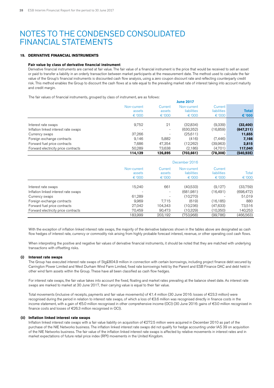## Notes to the Condensed Consolidated Financial Statements

### **19. DERIVATIVE FINANCIAL INSTRUMENTS**

#### **Fair value by class of derivative financial instrument**

Derivative financial instruments are carried at fair value. The fair value of a financial instrument is the price that would be received to sell an asset or paid to transfer a liability in an orderly transaction between market participants at the measurement date. The method used to calculate the fair value of the Group's financial instruments is discounted cash flow analysis, using a zero coupon discount rate and reflecting counterparty credit risk. This method enables the Group to discount the cash flows at a rate equal to the prevailing market rate of interest taking into account maturity and credit margin.

The fair values of financial instruments, grouped by class of instrument, are as follows:

|                                      | <b>June 2017</b>                         |                                      |                                                 |                                      |                        |
|--------------------------------------|------------------------------------------|--------------------------------------|-------------------------------------------------|--------------------------------------|------------------------|
|                                      | Non-current<br>assets<br>$\epsilon$ '000 | Current<br>assets<br>$\epsilon$ '000 | Non-current<br><b>liabilities</b><br>$000 \neq$ | Current<br>liabilities<br>$000 \neq$ | <b>Total</b><br>€ '000 |
| Interest rate swaps                  | 9,752                                    | 21                                   | (32,834)                                        | (9,339)                              | (32, 400)              |
| Inflation linked interest rate swaps |                                          | $\overline{\phantom{0}}$             | (630,352)                                       | (16,859)                             | (647, 211)             |
| Currency swaps                       | 37,266                                   | ٠                                    | (25,611)                                        |                                      | 11,655                 |
| Foreign exchange contracts           | 9.146                                    | 5.882                                | (416)                                           | (7.446)                              | 7,166                  |
| Forward fuel price contracts         | 7.686                                    | 47.354                               | (12,262)                                        | (39,963)                             | 2,815                  |
| Forward electricity price contracts  | 50.289                                   | 73,638                               | (2,186)                                         | (4,701)                              | 117,040                |
|                                      | 114,139                                  | 126.895                              | (703, 661)                                      | (78, 308)                            | (540, 935)             |

|                                                        | December 2016                            |                                      |                                               |                                           |                          |
|--------------------------------------------------------|------------------------------------------|--------------------------------------|-----------------------------------------------|-------------------------------------------|--------------------------|
|                                                        | Non-current<br>assets<br>$\epsilon$ '000 | Current<br>assets<br>$\epsilon$ '000 | Non-current<br>liabilities<br>$\epsilon$ '000 | Current<br>liabilities<br>$\epsilon$ '000 | Total<br>$\epsilon$ '000 |
| Interest rate swaps                                    | 15.240                                   | 661<br>$\overline{\phantom{0}}$      | (40,533)<br>(681,981)                         | (9,127)<br>(16, 491)                      | (33,759)                 |
| Inflation linked interest rate swaps<br>Currency swaps | 61.289                                   |                                      | (10,270)                                      |                                           | (698, 472)<br>51,019     |
| Foreign exchange contracts                             | 9.969                                    | 7.715                                | (619)                                         | (16, 185)                                 | 880                      |
| Forward fuel price contracts                           | 27.042                                   | 104.343                              | (10,236)                                      | (47,633)                                  | 73,516                   |
| Forward electricity price contracts                    | 70.459                                   | 90.473                               | (10,329)                                      | (10,350)                                  | 140,253                  |
|                                                        | 183,999                                  | 203,192                              | (753,968)                                     | (99,786)                                  | (466,563)                |

With the exception of inflation linked interest rate swaps, the majority of the derivative balances shown in the tables above are designated as cash flow hedges of interest rate, currency or commodity risk arising from highly probable forecast interest, revenue, or other operating cost cash flows.

When interpreting the positive and negative fair values of derivative financial instruments, it should be noted that they are matched with underlying transactions with offsetting risks.

#### **(i) Interest rate swaps**

The Group has executed interest rate swaps of Stg£804.9 million in connection with certain borrowings, including project finance debt secured by Carrington Power Limited and West Durham Wind Farm Limited, fixed rate borrowings held by the Parent and ESB Finance DAC and debt held in other wind farm assets within the Group. These have all been classified as cash flow hedges.

For interest rate swaps, the fair value takes into account the fixed, floating and market rates prevailing at the balance sheet date. As interest rate swaps are marked to market at 30 June 2017, their carrying value is equal to their fair value.

Total movements (inclusive of receipts, payments and fair value movements) of €1.4 million (30 June 2016: losses of €23.3 million) were recognised during the period in relation to interest rate swaps, of which a loss of €3.6 million was recognised directly in finance costs in the income statement, with a gain of €5.0 million recognised in other comprehensive income (OCI) (30 June 2016: gains of €3.0 million recognised in finance costs and losses of €26.3 million recognised in OCI).

#### **(ii) Inflation linked interest rate swaps**

Inflation linked interest rate swaps with a fair value liability on acquisition of €272.5 million were acquired in December 2010 as part of the purchase of the NIE Networks business. The inflation linked interest rate swaps did not qualify for hedge accounting under IAS 39 on acquisition of the NIE Networks business. The fair value of the inflation linked interest rate swaps is affected by relative movements in interest rates and in market expectations of future retail price index (RPI) movements in the United Kingdom.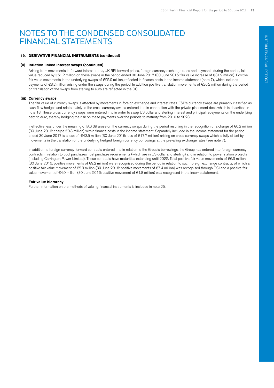### **19. Derivative Financial Instruments (continued)**

#### **(ii) Inflation linked interest swaps (continued)**

Arising from movements in forward interest rates, UK RPI forward prices, foreign currency exchange rates and payments during the period, fair value reduced by €51.2 million on these swaps in the period ended 30 June 2017 (30 June 2016: fair value increase of €31.9 million). Positive fair value movements in the underlying swaps of €25.0 million, reflected in finance costs in the income statement (note 7), which includes payments of €8.2 million arising under the swaps during the period. In addition positive translation movements of €26.2 million during the period on translation of the swaps from sterling to euro are reflected in the OCI.

### **(iii) Currency swaps**

The fair value of currency swaps is affected by movements in foreign exchange and interest rates. ESB's currency swaps are primarily classified as cash flow hedges and relate mainly to the cross currency swaps entered into in connection with the private placement debt, which is described in note 18. These cross currency swaps were entered into in order to swap US dollar and sterling interest and principal repayments on the underlying debt to euro, thereby hedging the risk on these payments over the periods to maturity from 2010 to 2023.

Ineffectiveness under the meaning of IAS 39 arose on the currency swaps during the period resulting in the recognition of a charge of €0.2 million (30 June 2016: charge €0.8 million) within finance costs in the income statement. Separately included in the income statement for the period ended 30 June 2017 is a loss of €43.5 million (30 June 2016: loss of €17.7 million) arising on cross currency swaps which is fully offset by movements in the translation of the underlying hedged foreign currency borrowings at the prevailing exchange rates (see note 7).

In addition to foreign currency forward contracts entered into in relation to the Group's borrowings, the Group has entered into foreign currency contracts in relation to pool purchases, fuel purchase requirements (which are in US dollar and sterling) and in relation to power station projects (including Carrington Power Limited). These contracts have maturities extending until 2022. Total positive fair value movements of €6.3 million (30 June 2016: positive movements of €9.2 million) were recognised during the period in relation to such foreign exchange contracts, of which a positive fair value movement of €2.3 million (30 June 2016: positive movements of €7.4 million) was recognised through OCI and a positive fair value movement of €4.0 million (30 June 2016: positive movement of €1.8 million) was recognised in the income statement.

#### **Fair value hierarchy**

Further information on the methods of valuing financial instruments is included in note 25.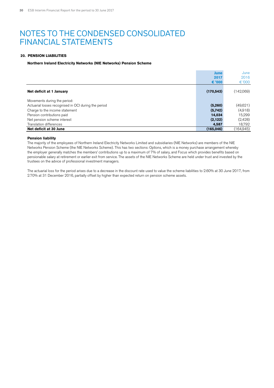## NOTES TO THE CONDENSED CONSOLIDATED Financial Statements

#### **20. PENSION LIABILITIES**

#### **Northern Ireland Electricity Networks (NIE Networks) Pension Scheme**

|                                                      | <b>June</b>     | June       |
|------------------------------------------------------|-----------------|------------|
|                                                      | 2017            | 2016       |
|                                                      | $\epsilon$ '000 | € '000     |
| Net deficit at 1 January                             | (170, 543)      | (142,069)  |
| Movements during the period:                         |                 |            |
| Actuarial losses recognised in OCI during the period | (5, 260)        | (49,621)   |
| Charge to the income statement                       | (5,742)         | (4,918)    |
| Pension contributions paid                           | 14,034          | 15,299     |
| Net pension scheme interest                          | (2, 122)        | (2,428)    |
| Translation differences                              | 4.587           | 18,792     |
| Net deficit at 30 June                               | (165, 046)      | (164, 945) |

#### **Pension liability**

The majority of the employees of Northern Ireland Electricity Networks Limited and subsidiaries (NIE Networks) are members of the NIE Networks Pension Scheme (the NIE Networks Scheme). This has two sections: Options, which is a money purchase arrangement whereby the employer generally matches the members' contributions up to a maximum of 7% of salary, and Focus which provides benefits based on pensionable salary at retirement or earlier exit from service. The assets of the NIE Networks Scheme are held under trust and invested by the trustees on the advice of professional investment managers.

The actuarial loss for the period arises due to a decrease in the discount rate used to value the scheme liabilities to 2.60% at 30 June 2017, from 2.70% at 31 December 2016, partially offset by higher than expected return on pension scheme assets.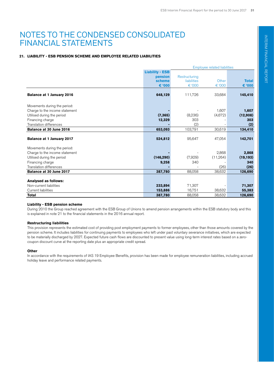# Notes to the Condensed Consolidated

## **21. LIABILITY - ESB PENSION SCHEME AND EMPLOYEE RELATED LIABILITIES**

Financial Statements

|                                  | <b>Employee related liabilities</b> |               |          |              |
|----------------------------------|-------------------------------------|---------------|----------|--------------|
|                                  | <b>Liability - ESB</b>              |               |          |              |
|                                  | pension                             | Restructuring |          |              |
|                                  | scheme                              | liabilities   | Other    | <b>Total</b> |
|                                  | $\epsilon$ '000                     | € '000        | € '000   | € '000       |
| <b>Balance at 1 January 2016</b> | 648,129                             | 111,726       | 33,684   | 145,410      |
| Movements during the period:     |                                     |               |          |              |
| Charge to the income statement   |                                     |               | 1,607    | 1,607        |
| Utilised during the period       | (7, 365)                            | (8,236)       | (4,672)  | (12,908)     |
| Financing charge                 | 12,329                              | 303           |          | 303          |
| Translation differences          |                                     | (2)           |          | (2)          |
| Balance at 30 June 2016          | 653,093                             | 103,791       | 30,619   | 134,410      |
| <b>Balance at 1 January 2017</b> | 524,812                             | 95,647        | 47,054   | 142,701      |
| Movements during the period:     |                                     |               |          |              |
| Charge to the income statement   |                                     |               | 2,868    | 2,868        |
| Utilised during the period       | (146, 290)                          | (7,929)       | (11,264) | (19, 193)    |
| Financing charge                 | 9,258                               | 340           |          | 340          |
| <b>Translation differences</b>   |                                     |               | (26)     | (26)         |
| Balance at 30 June 2017          | 387,780                             | 88,058        | 38,632   | 126,690      |
|                                  |                                     |               |          |              |
| <b>Analysed as follows:</b>      |                                     |               |          |              |
| Non-current liabilities          | 233,894                             | 71,307        |          | 71,307       |
| <b>Current liabilities</b>       | 153.886                             | 16,751        | 38,632   | 55,383       |
| <b>Total</b>                     | 387,780                             | 88,058        | 38,632   | 126,690      |

### **Liability - ESB pension scheme**

During 2010 the Group reached agreement with the ESB Group of Unions to amend pension arrangements within the ESB statutory body and this is explained in note 21 to the financial statements in the 2016 annual report.

### **Restructuring liabilities**

This provision represents the estimated cost of providing post employment payments to former employees, other than those amounts covered by the pension scheme. It includes liabilities for continuing payments to employees who left under past voluntary severance initiatives, which are expected to be materially discharged by 2027. Expected future cash flows are discounted to present value using long-term interest rates based on a zerocoupon discount curve at the reporting date plus an appropriate credit spread.

#### **Other**

In accordance with the requirements of IAS 19 Employee Benefits, provision has been made for employee remuneration liabilities, including accrued holiday leave and performance related payments.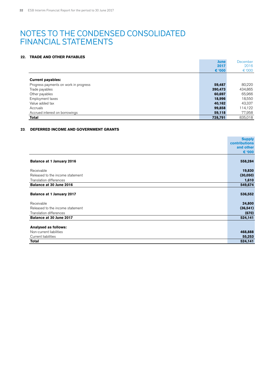## **22. TRADE AND OTHER PAYABLES**

|                                       | <b>June</b>  | December        |
|---------------------------------------|--------------|-----------------|
|                                       | 2017         | 2016            |
|                                       | $600 \div 3$ | $\epsilon$ '000 |
|                                       |              |                 |
| <b>Current payables:</b>              |              |                 |
| Progress payments on work in progress | 59,487       | 80,220          |
| Trade payables                        | 390,473      | 434,865         |
| Other payables                        | 60,697       | 65,966          |
| Employment taxes                      | 18,996       | 18,550          |
| Value added tax                       | 40,162       | 43,337          |
| Accruals                              | 99,858       | 114,122         |
| Accrued interest on borrowings        | 59,118       | 77,958          |
| <b>Total</b>                          | 728.791      | 835,018         |

### **23**. **DEFERRED INCOME AND GOVERNMENT GRANTS**

|                                  | <b>Supply</b><br><b>contributions</b><br>and other |
|----------------------------------|----------------------------------------------------|
|                                  | € '000                                             |
| <b>Balance at 1 January 2016</b> | 558,284                                            |
| Receivable                       | 19,830                                             |
| Released to the income statement | (30,050)                                           |
| Translation differences          | 1,610                                              |
| Balance at 30 June 2016          | 549,674                                            |
| <b>Balance at 1 January 2017</b> | 536,552                                            |
| Receivable                       | 24,800                                             |
| Released to the income statement | (36, 541)                                          |
| Translation differences          | (670)                                              |
| Balance at 30 June 2017          | 524,141                                            |
|                                  |                                                    |
| <b>Analysed as follows:</b>      |                                                    |
| Non-current liabilities          | 468,888                                            |
| Current liabilities              | 55,253                                             |
| <b>Total</b>                     | 524,141                                            |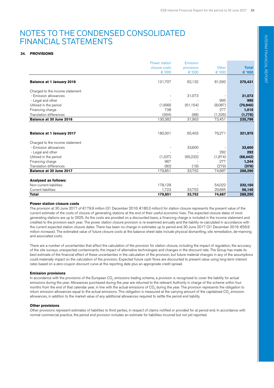## **24. PROVISIONS**

|                                  | Power station | Emission   |         |              |
|----------------------------------|---------------|------------|---------|--------------|
|                                  | closure costs | provisions | Other   | <b>Total</b> |
|                                  | € '000        | € '000     | € '000  | € '000       |
|                                  |               |            |         |              |
| <b>Balance at 1 January 2016</b> | 131,707       | 62,132     | 81,592  | 275,431      |
| Charged to the income statement  |               |            |         |              |
| - Emission allowances            |               | 31,073     |         | 31,073       |
| - Legal and other                |               |            | 995     | 995          |
| Utilised in the period           | (1,699)       | (61, 154)  | (8,087) | (70, 940)    |
| Financing charge                 | 738           |            | 277     | 1,015        |
| Translation differences          | (364)         | (88)       | (1,326) | (1,778)      |
| Balance at 30 June 2016          | 130,382       | 31,963     | 73,451  | 235,796      |
|                                  |               |            |         |              |
| <b>Balance at 1 January 2017</b> | 180,301       | 65,403     | 76,271  | 321,975      |
| Charged to the income statement  |               |            |         |              |
| - Emission allowances            |               | 33,600     |         | 33,600       |
| - Legal and other                |               |            | 292     | 292          |
| Utilised in the period           | (1, 337)      | (65, 232)  | (1,874) | (68, 443)    |
| Financing charge                 | 967           |            | 277     | 1,244        |
| Translation differences          | (80)          | (19)       | (279)   | (378)        |
| Balance at 30 June 2017          | 179,851       | 33,752     | 74,687  | 288,290      |
|                                  |               |            |         |              |
| Analysed as follows:             |               |            |         |              |
| Non-current liabilities          | 178,128       |            | 54,022  | 232,150      |
| Current liabilities              | 1.723         | 33,752     | 20,665  | 56,140       |
| <b>Total</b>                     | 179,851       | 33,752     | 74,687  | 288,290      |

#### **Power station closure costs**

The provision at 30 June 2017 of €179.9 million (31 December 2016: €180.3 million) for station closure represents the present value of the current estimate of the costs of closure of generating stations at the end of their useful economic lives. The expected closure dates of most generating stations are up to 2025. As the costs are provided on a discounted basis, a financing charge is included in the income statement and credited to the provision each year. The power station closure provision is re-examined annually and the liability re-calculated in accordance with the current expected station closure dates. There has been no change in estimates up to period end 30 June 2017 (31 December 2016: €56.9 million increase). The estimated value of future closure costs at the balance sheet date include physical dismantling, site remediation, de-manning and associated costs.

There are a number of uncertainties that affect the calculation of the provision for station closure, including the impact of regulation, the accuracy of the site surveys, unexpected contaminants, the impact of alternative technologies and changes in the discount rate. The Group has made its best estimate of the financial effect of these uncertainties in the calculation of the provision, but future material changes in any of the assumptions could materially impact on the calculation of the provision. Expected future cash flows are discounted to present value using long-term interest rates based on a zero-coupon discount curve at the reporting date plus an appropriate credit spread.

#### **Emission provisions**

In accordance with the provisions of the European CO<sub>0</sub> emissions trading scheme, a provision is recognised to cover the liability for actual emissions during the year. Allowances purchased during the year are returned to the relevant Authority in charge of the scheme within four months from the end of that calendar year, in line with the actual emissions of CO<sub>o</sub> during the year. The provision represents the obligation to return emission allowances equal to the actual emissions. This obligation is measured at the carrying amount of the capitalised CO<sub>2</sub> emission allowances, in addition to the market value of any additional allowances required to settle the period end liability.

### **Other provisions**

Other provisions represent estimates of liabilities to third parties, in respect of claims notified or provided for at period end. In accordance with normal commercial practice, the period end provision includes an estimate for liabilities incurred but not yet reported.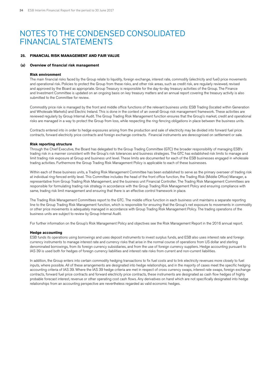### **25. FINANCIAL RISK MANAGEMENT AND FAIR VALUE**

### **(a) Overview of financial risk management**

#### **Risk environment**

The main financial risks faced by the Group relate to liquidity, foreign exchange, interest rate, commodity (electricity and fuel) price movements and operational risk. Policies to protect the Group from these risks, and other risk areas, such as credit risk, are regularly reviewed, revised and approved by the Board as appropriate. Group Treasury is responsible for the day-to-day treasury activities of the Group. The Finance and Investment Committee is updated on an ongoing basis on key treasury matters and an annual report covering the treasury activity is also submitted to the Committee for review.

Commodity price risk is managed by the front and middle office functions of the relevant business units: ESB Trading (located within Generation and Wholesale Markets) and Electric Ireland. This is done in the context of an overall Group risk management framework. These activities are reviewed regularly by Group Internal Audit. The Group Trading Risk Management function ensures that the Group's market, credit and operational risks are managed in a way to protect the Group from loss, while respecting the ring-fencing obligations in place between the business units.

Contracts entered into in order to hedge exposures arising from the production and sale of electricity may be divided into forward fuel price contracts, forward electricity price contracts and foreign exchange contracts. Financial instruments are derecognised on settlement or sale.

#### **Risk reporting structure**

Through the Chief Executive, the Board has delegated to the Group Trading Committee (GTC) the broader responsibility of managing ESB's trading risk in a manner consistent with the Group's risk tolerances and business strategies. The GTC has established risk limits to manage and limit trading risk exposure at Group and business unit level. These limits are documented for each of the ESB businesses engaged in wholesale trading activities. Furthermore the Group Trading Risk Management Policy is applicable to each of these businesses.

Within each of these business units, a Trading Risk Management Committee has been established to serve as the primary overseer of trading risk at individual ring-fenced entity level. This Committee includes the head of the front office function, the Trading Risk (Middle Office) Manager, a representative from Group Trading Risk Management, and the business unit Financial Controller. The Trading Risk Management Committees are responsible for formulating trading risk strategy in accordance with the Group Trading Risk Management Policy and ensuring compliance with same, trading risk limit management and ensuring that there is an effective control framework in place.

The Trading Risk Management Committees report to the GTC. The middle office function in each business unit maintains a separate reporting line to the Group Trading Risk Management function, which is responsible for ensuring that the Group's net exposure to movements in commodity or other price movements is adequately managed in accordance with Group Trading Risk Management Policy. The trading operations of the business units are subject to review by Group Internal Audit.

For further information on the Group's Risk Management Policy and objectives see the Risk Management Report in the 2016 annual report.

#### **Hedge accounting**

ESB funds its operations using borrowings and uses deposit instruments to invest surplus funds, and ESB also uses interest rate and foreign currency instruments to manage interest rate and currency risks that arise in the normal course of operations from US dollar and sterling denominated borrowings, from its foreign currency subsidiaries, and from the use of foreign currency suppliers. Hedge accounting pursuant to IAS 39 is used both for hedges of foreign currency liabilities and interest rate risks from current and non-current liabilities.

In addition, the Group enters into certain commodity hedging transactions to fix fuel costs and to link electricity revenues more closely to fuel inputs, where possible. All of these arrangements are designated into hedge relationships, and in the majority of cases meet the specific hedging accounting criteria of IAS 39. Where the IAS 39 hedge criteria are met in respect of cross currency swaps, interest rate swaps, foreign exchange contracts, forward fuel price contracts and forward electricity price contracts, these instruments are designated as cash flow hedges of highly probable forecast interest, revenue or other operating cost cash flows. Any derivatives on hand which are not specifically designated into hedge relationships from an accounting perspective are nevertheless regarded as valid economic hedges.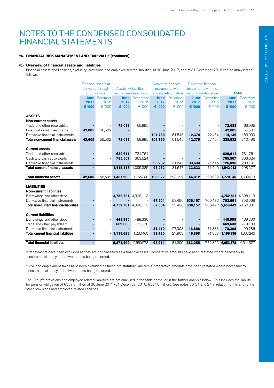## **25. FINANCIAL RISK MANAGEMENT AND FAIR VALUE (continued)**

#### **(b) Overview of financial assets and liabilities**

Financial assets and liabilities, excluding provisions and employee related liabilities, at 30 June 2017, and at 31 December 2016 can be analysed as follows:

|                                                               |              | Financial assets at<br>fair value through |                     | Assets / (liabilities)                                             |             | Derivative financial<br>instruments with |             | Derivative financial<br>instruments with no |                             |                    |
|---------------------------------------------------------------|--------------|-------------------------------------------|---------------------|--------------------------------------------------------------------|-------------|------------------------------------------|-------------|---------------------------------------------|-----------------------------|--------------------|
|                                                               |              | profit or loss                            |                     | held at amortised cost hedging relationships hedging relationships |             |                                          |             |                                             |                             | <b>Total</b>       |
|                                                               |              | <b>June</b> December                      |                     | <b>June</b> December                                               | <b>June</b> | December                                 | <b>June</b> | December                                    | <b>June</b>                 | December           |
|                                                               | 2017         | 2016<br>€ '000                            | 2017                | 2016                                                               | 2017        | 2016<br>€ '000                           | 2017        | 2016                                        | 2017<br>$600 \div 3$        | 2016<br>€ '000     |
|                                                               | $600 \div 3$ |                                           | € '000              | € '000                                                             | € '000      |                                          | € '000      | € '000                                      |                             |                    |
| <b>ASSETS</b>                                                 |              |                                           |                     |                                                                    |             |                                          |             |                                             |                             |                    |
| <b>Non-current assets</b>                                     |              |                                           |                     |                                                                    |             |                                          |             |                                             |                             |                    |
| Trade and other receivables                                   |              |                                           | 72,088              | 69,995                                                             |             |                                          |             |                                             | 72,088                      | 69,995             |
| Financial asset investments                                   | 42,605       | 56,502                                    |                     |                                                                    |             |                                          |             |                                             | 42,605                      | 56,502             |
| Derivative financial instruments                              |              |                                           |                     | $\overline{\phantom{a}}$                                           | 101,760     | 161,545                                  | 12,379      | 22,454                                      | 114,139                     | 183,999            |
| <b>Total non-current financial assets</b>                     | 42,605       | 56,502                                    | 72,088              | 69,995                                                             | 101,760     | 161,545                                  | 12,379      | 22,454                                      | 228,832                     | 310,496            |
|                                                               |              |                                           |                     |                                                                    |             |                                          |             |                                             |                             |                    |
| <b>Current assets</b><br>Trade and other receivables*         |              |                                           |                     |                                                                    |             |                                          |             |                                             |                             |                    |
|                                                               |              |                                           | 629,611<br>785,507  | 731,761<br>363,624                                                 |             |                                          |             |                                             | 629,611<br>785,507          | 731,761<br>363,624 |
| Cash and cash equivalents<br>Derivative financial instruments |              | $\overline{\phantom{a}}$                  |                     |                                                                    | 93,262      | 131,647                                  | 33,633      | 71,545                                      | 126,895                     | 203,192            |
| <b>Total current financial assets</b>                         |              | L,                                        | 1,415,118           | 1,095,385                                                          | 93,262      | 131,647                                  | 33,633      | 71,545                                      | 1,542,013                   | ,298,577           |
|                                                               |              |                                           |                     |                                                                    |             |                                          |             |                                             |                             |                    |
| <b>Total financial assets</b>                                 | 42,605       |                                           | 56,502 1,487,206    | 1,165,380                                                          | 195,022     | 293,192                                  | 46,012      |                                             | 93,999 1,770,845            | 1,609,073          |
|                                                               |              |                                           |                     |                                                                    |             |                                          |             |                                             |                             |                    |
| <b>LIABILITIES</b>                                            |              |                                           |                     |                                                                    |             |                                          |             |                                             |                             |                    |
| <b>Non-current liabilities</b>                                |              |                                           |                     |                                                                    |             |                                          |             |                                             |                             |                    |
| Borrowings and other debt                                     |              | $\overline{\phantom{a}}$                  | 4,752,781           | 4,398,113                                                          |             |                                          |             |                                             | 4,752,781                   | 4,398,113          |
| Derivative financial instruments                              |              |                                           |                     |                                                                    | 67,504      | 53,496                                   | 636,157     | 700,472                                     | 703,661                     | 753,968            |
| <b>Total non-current financial liabilities</b>                |              |                                           | 4,752,781 4,398,113 |                                                                    | 67,504      | 53,496                                   | 636,157     |                                             | 700,472 5,456,442 5,152,081 |                    |
| <b>Current liabilities</b>                                    |              |                                           |                     |                                                                    |             |                                          |             |                                             |                             |                    |
| Borrowings and other debt                                     |              |                                           | 448,995             | 489,330                                                            |             |                                          |             |                                             | 448,995                     | 489,330            |
| Trade and other payables**                                    |              |                                           | 669,633             | 773,130                                                            |             |                                          |             |                                             | 669,633                     | 773,130            |
| Derivative financial instruments                              |              |                                           |                     |                                                                    | 31,410      | 27,903                                   | 46,898      | 71,883                                      | 78,308                      | 99,786             |
| <b>Total current financial liabilities</b>                    |              | $\overline{\phantom{a}}$                  | 1,118,628           | 1,262,460                                                          | 31,410      | 27,903                                   | 46,898      | 71,883                                      | 1,196,936                   | 1,362,246          |
|                                                               |              |                                           |                     |                                                                    |             |                                          |             |                                             |                             |                    |
| <b>Total financial liabilities</b>                            |              |                                           | $-5,871,409$        | 5,660,573                                                          | 98,914      | 81,399                                   | 683,055     |                                             | 772,355 6,653,378           | 6,514,327          |

\*Prepayments have been excluded as they are not classified as a financial asset. Comparative amounts have been restated where necessary to ensure consistency in the two periods being recorded.

\*\*VAT and employment taxes have been excluded as these are statutory liabilities. Comparative amounts have been restated where necessary to ensure consistency in the two periods being recorded.

The Group's provisions and employee related liabilities are not analysed in the table above, or in the further analysis below. This includes the liability for pension obligation of €387.8 million at 30 June 2017 (31 December 2016: €524.8 million). See notes 20, 21 and 24 in relation to this and to the other provisions and employee related liabilities.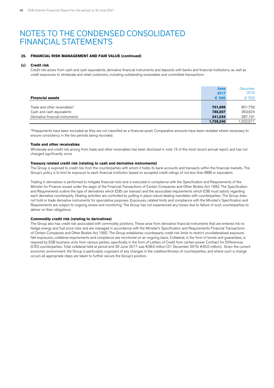### **25. FINANCIAL RISK MANAGEMENT AND FAIR VALUE (continued)**

#### **(c) Credit risk**

Credit risk arises from cash and cash equivalents, derivative financial instruments and deposits with banks and financial institutions, as well as credit exposures to wholesale and retail customers, including outstanding receivables and committed transactions.

|                                  | <b>June</b><br>2017 | <b>December</b><br>2016 |
|----------------------------------|---------------------|-------------------------|
| <b>Financial assets</b>          | $\epsilon$ '000     | $\epsilon$ '000         |
|                                  |                     |                         |
| Trade and other receivables*     | 701,699             | 801,756                 |
| Cash and cash equivalents        | 785,507             | 363,624                 |
| Derivative financial instruments | 241.034             | 387.191                 |
|                                  | 1,728,240           | .552,571                |

\*Prepayments have been excluded as they are not classified as a financial asset. Comparative amounts have been restated where necessary to ensure consistency in the two periods being recorded.

#### **Trade and other receivables**

Wholesale and credit risk arising from trade and other receivables has been disclosed in note 15 of the most recent annual report, and has not changed significantly since.

### **Treasury related credit risk (relating to cash and derivative instruments)**

The Group is exposed to credit risk from the counterparties with whom it holds its bank accounts and transacts within the financial markets. The Group's policy is to limit its exposure to each financial institution based on accepted credit ratings of not less than BBB or equivalent.

Trading in derivatives is performed to mitigate financial risks and is executed in compliance with the Specification and Requirements of the Minister for Finance issued under the aegis of the Financial Transactions of Certain Companies and Other Bodies Act 1992. The Specification and Requirements outline the type of derivatives which ESB can transact and the associated requirements which ESB must satisfy regarding each derivative counterparty. Dealing activities are controlled by putting in place robust dealing mandates with counterparties. The Group does not hold or trade derivative instruments for speculative purposes. Exposures, related limits and compliance with the Minister's Specification and Requirements are subject to ongoing review and monitoring. The Group has not experienced any losses due to failure of such counterparties to deliver on their obligations.

### **Commodity credit risk (relating to derivatives)**

The Group also has credit risk associated with commodity positions. These arise from derivative financial instruments that are entered into to hedge energy and fuel price risks and are managed in accordance with the Minister's Specification and Requirements Financial Transactions of Certain Companies and Other Bodies Act 1992. The Group establishes counterparty credit risk limits to restrict uncollateralised exposure. Net exposures, collateral requirements and compliance are monitored on an ongoing basis. Collateral, in the form of bonds and guarantees, is required by ESB business units from various parties, specifically in the form of Letters of Credit from certain power Contract for Differences (CfD) counterparties. Total collateral held at period end 30 June 2017 was €38.0 million (31 December 2016: €45.0 million). Given the current economic environment, the Group is particularly cognisant of any changes in the creditworthiness of counterparties, and where such a change occurs all appropriate steps are taken to further secure the Group's position.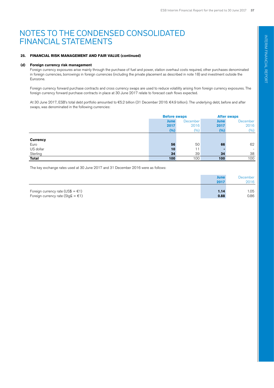### **25. FINANCIAL RISK MANAGEMENT AND FAIR VALUE (continued)**

#### **(d) Foreign currency risk management**

Foreign currency exposures arise mainly through the purchase of fuel and power, station overhaul costs required, other purchases denominated in foreign currencies, borrowings in foreign currencies (including the private placement as described in note 18) and investment outside the Eurozone.

Foreign currency forward purchase contracts and cross currency swaps are used to reduce volatility arising from foreign currency exposures. The foreign currency forward purchase contracts in place at 30 June 2017 relate to forecast cash flows expected.

At 30 June 2017, ESB's total debt portfolio amounted to €5.2 billion (31 December 2016: €4.9 billion). The underlying debt, before and after swaps, was denominated in the following currencies:

|                 | <b>Before swaps</b>            |       |             | <b>After swaps</b>       |
|-----------------|--------------------------------|-------|-------------|--------------------------|
|                 | <b>June</b><br><b>December</b> |       | <b>June</b> | December                 |
|                 | 2017                           | 2016  | 2017        | 2016                     |
|                 | (%)                            | (9/0) | (%)         | $(\% )$                  |
| <b>Currency</b> |                                |       |             |                          |
| Euro            | 56                             | 50    | 66          | 62                       |
| US dollar       | 10                             |       |             | $\overline{\phantom{a}}$ |
| Sterling        | 34                             | 39    | 34          | 38                       |
| <b>Total</b>    | 100                            | 100   | 100         | 100                      |

The key exchange rates used at 30 June 2017 and 31 December 2016 were as follows:

|                                                     | <b>June</b> | December |
|-----------------------------------------------------|-------------|----------|
|                                                     | 2017        | 2016     |
|                                                     |             |          |
| Foreign currency rate (US\$ = $€1$ )                | 1.14        | 1.05     |
| Foreign currency rate (Stg $\epsilon = \epsilon$ 1) | 0.88        | 0.86     |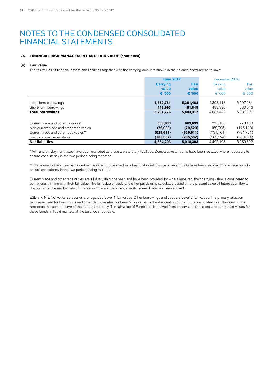## Notes to the Condensed Consolidated Financial Statements

### **25. FINANCIAL RISK MANAGEMENT AND FAIR VALUE (continued)**

#### **(e) Fair value**

The fair values of financial assets and liabilities together with the carrying amounts shown in the balance sheet are as follows:

|                                         | <b>June 2017</b> |                 | December 2016   |                 |
|-----------------------------------------|------------------|-----------------|-----------------|-----------------|
|                                         | <b>Carrying</b>  | <b>Fair</b>     | Carrying        | Fair            |
|                                         | value            | value           | value           | value           |
|                                         | € '000           | $\epsilon$ '000 | $\epsilon$ '000 | $\epsilon$ '000 |
|                                         |                  |                 |                 |                 |
| Long-term borrowings                    | 4,752,781        | 5,381,468       | 4,398,113       | 5,507,281       |
| Short-term borrowings                   | 448.995          | 461.849         | 489.330         | 530,046         |
| <b>Total borrowings</b>                 | 5,201,776        | 5,843,317       | 4.887.443       | 6.037.327       |
|                                         |                  |                 |                 |                 |
| Current trade and other payables*       | 669.633          | 669,633         | 773,130         | 773.130         |
| Non-current trade and other receivables | (72,088)         | (79, 529)       | (69.995)        | (125, 180)      |
| Current trade and other receivables**   | (629, 611)       | (629, 611)      | (731,761)       | (731, 761)      |
| Cash and cash equivalents               | (785, 507)       | (785, 507)      | (363,624)       | (363,624)       |
| <b>Net liabilities</b>                  | 4,384,203        | 5,018,303       | 4,495,193       | 5,589,892       |

\* VAT and employment taxes have been excluded as these are statutory liabilities. Comparative amounts have been restated where necessary to ensure consistency in the two periods being recorded.

\*\* Prepayments have been excluded as they are not classified as a financial asset. Comparative amounts have been restated where necessary to ensure consistency in the two periods being recorded.

Current trade and other receivables are all due within one year, and have been provided for where impaired, their carrying value is considered to be materially in line with their fair value. The fair value of trade and other payables is calculated based on the present value of future cash flows, discounted at the market rate of interest or where applicable a specific interest rate has been applied.

ESB and NIE Networks Eurobonds are regarded Level 1 fair values. Other borrowings and debt are Level 2 fair values. The primary valuation technique used for borrowings and other debt classified as Level 2 fair values is the discounting of the future associated cash flows using the zero-coupon discount curve of the relevant currency. The fair value of Eurobonds is derived from observation of the most recent traded values for these bonds in liquid markets at the balance sheet date.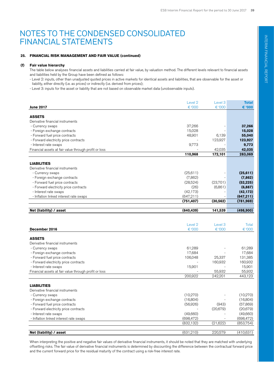### **25. FINANCIAL RISK MANAGEMENT AND FAIR VALUE (continued)**

### **(f) Fair value hierarchy**

The table below analyses financial assets and liabilities carried at fair value, by valuation method. The different levels relevant to financial assets and liabilities held by the Group have been defined as follows:

- Level 2: inputs, other than unadjusted quoted prices in active markets for identical assets and liabilities, that are observable for the asset or liability, either directly (i.e. as prices) or indirectly (i.e. derived from prices);

- Level 3: inputs for the asset or liability that are not based on observable market data (unobservable inputs).

|                                                       | Level <sub>2</sub> | Level <sub>3</sub> | <b>Total</b> |
|-------------------------------------------------------|--------------------|--------------------|--------------|
| <b>June 2017</b>                                      | € '000             | € '000             | € '000       |
|                                                       |                    |                    |              |
| <b>ASSETS</b>                                         |                    |                    |              |
| Derivative financial instruments                      |                    |                    |              |
| - Currency swaps                                      | 37,266             |                    | 37,266       |
| - Foreign exchange contracts                          | 15,028             |                    | 15,028       |
| - Forward fuel price contracts                        | 48,901             | 6,139              | 55,040       |
| - Forward electricity price contracts                 |                    | 123,927            | 123,927      |
| - Interest rate swaps                                 | 9,773              |                    | 9,773        |
| Financial assets at fair value through profit or loss |                    | 42,035             | 42,035       |
|                                                       | 110,968            | 172,101            | 283,069      |
| <b>LIABILITIES</b>                                    |                    |                    |              |
| Derivative financial instruments                      |                    |                    |              |
| - Currency swaps                                      | (25,611)           |                    | (25, 611)    |
| - Foreign exchange contracts                          | (7,862)            |                    | (7, 862)     |
| - Forward fuel price contracts                        | (28,524)           | (23,701)           | (52, 225)    |
| - Forward electricity price contracts                 | (26)               | (6,861)            | (6, 887)     |
| - Interest rate swaps                                 | (42, 173)          |                    | (42, 173)    |
| - Inflation linked interest rate swaps                | (647, 211)         |                    | (647, 211)   |
|                                                       | (751, 407)         | (30, 562)          | (781, 969)   |
|                                                       |                    |                    |              |
| Net (liability) / asset                               | (640, 439)         | 141,539            | (498,900)    |
|                                                       |                    |                    |              |
|                                                       |                    |                    |              |
|                                                       | Level 2            | Level <sub>3</sub> | Total        |
| December 2016                                         | € '000             | € '000             | € '000       |
| <b>ASSETS</b>                                         |                    |                    |              |
| Derivative financial instruments                      |                    |                    |              |
| - Currency swaps                                      | 61,289             |                    | 61,289       |
| - Foreign exchange contracts                          | 17,684             |                    | 17,684       |
| - Forward fuel price contracts                        | 106,048            | 25,337             | 131,385      |
| - Forward electricity price contracts                 |                    | 160,932            | 160,932      |
| - Interest rate swaps                                 | 15,901             |                    | 15,901       |
| Financial assets at fair value through profit or loss |                    | 55,932             | 55,932       |
|                                                       | 200,922            | 242,201            | 443,123      |
|                                                       |                    |                    |              |
| <b>LIABILITIES</b>                                    |                    |                    |              |
| Derivative financial instruments                      |                    |                    |              |
| - Currency swaps                                      | (10,270)           |                    | (10,270)     |
| - Foreign exchange contracts                          | (16,804)           |                    | (16,804)     |
| - Forward fuel price contracts                        | (56,926)           | (943)              | (57,869)     |
| - Forward electricity price contracts                 |                    | (20, 679)          | (20, 679)    |
| - Interest rate swaps                                 | (49,660)           |                    | (49,660)     |
| - Inflation linked interest rate swaps                | (698, 472)         |                    | (698, 472)   |
|                                                       |                    |                    |              |
|                                                       | (832, 132)         | (21,622)           | (853,754)    |
|                                                       |                    |                    |              |

When interpreting the positive and negative fair values of derivative financial instruments, it should be noted that they are matched with underlying offsetting risks. The fair value of derivative financial instruments is determined by discounting the difference between the contractual forward price and the current forward price for the residual maturity of the contract using a risk-free interest rate.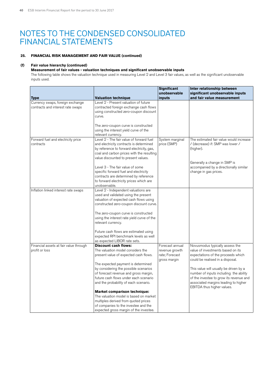## **25. FINANCIAL RISK MANAGEMENT AND FAIR VALUE (continued)**

### **(f) Fair value hierarchy (continued)**

## **Measurement of fair values - valuation techniques and significant unobservable inputs**

The following table shows the valuation technique used in measuring Level 2 and Level 3 fair values, as well as the significant unobservable inputs used.

| unobservable<br>inputs<br>and fair value measurement<br><b>Type</b><br><b>Valuation technique</b><br>Currency swaps, foreign exchange<br>Level 2 - Present valuation of future<br>contracted foreign exchange cash flows<br>contracts and interest rate swaps<br>using constructed zero-coupon discount<br>curve.<br>The zero-coupon curve is constructed<br>using the interest yield curve of the<br>relevant currency.<br>Level 2 - The fair value of forward fuel<br>The estimated fair value would increase<br>Forward fuel and electricity price<br>System marginal<br>price (SMP)<br>/ (decrease) if: SMP was lower /<br>contracts<br>and electricity contracts is determined<br>by reference to forward electricity, gas,<br>(higher).<br>coal and carbon prices with the resulting<br>value discounted to present values.<br>Generally a change in SMP is<br>Level 3 - The fair value of some<br>accompanied by a directionally similar<br>specific forward fuel and electricity<br>change in gas prices.<br>contracts are determined by reference<br>to forward electricity prices which are<br>unobservable.<br>Level 2 - Independent valuations are<br>Inflation linked interest rate swaps<br>used and validated using the present<br>valuation of expected cash flows using<br>constructed zero-coupon discount curve.<br>The zero-coupon curve is constructed<br>using the interest rate yield curve of the<br>relevant currency.<br>Future cash flows are estimated using<br>expected RPI benchmark levels as well<br>as expected LIBOR rate sets.<br>Financial assets at fair value through<br><b>Discount cash flows:</b><br>Forecast annual<br>Novusmodus typically assess the<br>value of investments based on its<br>profit or loss<br>The valuation model considers the<br>revenue growth<br>rate; Forecast<br>expectations of the proceeds which<br>present value of expected cash flows.<br>gross margin<br>could be realised in a disposal.<br>The expected payment is determined<br>by considering the possible scenarios<br>This value will usually be driven by a |  | <b>Significant</b> | Inter relationship between      |
|----------------------------------------------------------------------------------------------------------------------------------------------------------------------------------------------------------------------------------------------------------------------------------------------------------------------------------------------------------------------------------------------------------------------------------------------------------------------------------------------------------------------------------------------------------------------------------------------------------------------------------------------------------------------------------------------------------------------------------------------------------------------------------------------------------------------------------------------------------------------------------------------------------------------------------------------------------------------------------------------------------------------------------------------------------------------------------------------------------------------------------------------------------------------------------------------------------------------------------------------------------------------------------------------------------------------------------------------------------------------------------------------------------------------------------------------------------------------------------------------------------------------------------------------------------------------------------------------------------------------------------------------------------------------------------------------------------------------------------------------------------------------------------------------------------------------------------------------------------------------------------------------------------------------------------------------------------------------------------------------------------------------------------------------------------------------------------------------|--|--------------------|---------------------------------|
|                                                                                                                                                                                                                                                                                                                                                                                                                                                                                                                                                                                                                                                                                                                                                                                                                                                                                                                                                                                                                                                                                                                                                                                                                                                                                                                                                                                                                                                                                                                                                                                                                                                                                                                                                                                                                                                                                                                                                                                                                                                                                              |  |                    | significant unobservable inputs |
|                                                                                                                                                                                                                                                                                                                                                                                                                                                                                                                                                                                                                                                                                                                                                                                                                                                                                                                                                                                                                                                                                                                                                                                                                                                                                                                                                                                                                                                                                                                                                                                                                                                                                                                                                                                                                                                                                                                                                                                                                                                                                              |  |                    |                                 |
|                                                                                                                                                                                                                                                                                                                                                                                                                                                                                                                                                                                                                                                                                                                                                                                                                                                                                                                                                                                                                                                                                                                                                                                                                                                                                                                                                                                                                                                                                                                                                                                                                                                                                                                                                                                                                                                                                                                                                                                                                                                                                              |  |                    |                                 |
|                                                                                                                                                                                                                                                                                                                                                                                                                                                                                                                                                                                                                                                                                                                                                                                                                                                                                                                                                                                                                                                                                                                                                                                                                                                                                                                                                                                                                                                                                                                                                                                                                                                                                                                                                                                                                                                                                                                                                                                                                                                                                              |  |                    |                                 |
|                                                                                                                                                                                                                                                                                                                                                                                                                                                                                                                                                                                                                                                                                                                                                                                                                                                                                                                                                                                                                                                                                                                                                                                                                                                                                                                                                                                                                                                                                                                                                                                                                                                                                                                                                                                                                                                                                                                                                                                                                                                                                              |  |                    |                                 |
|                                                                                                                                                                                                                                                                                                                                                                                                                                                                                                                                                                                                                                                                                                                                                                                                                                                                                                                                                                                                                                                                                                                                                                                                                                                                                                                                                                                                                                                                                                                                                                                                                                                                                                                                                                                                                                                                                                                                                                                                                                                                                              |  |                    |                                 |
|                                                                                                                                                                                                                                                                                                                                                                                                                                                                                                                                                                                                                                                                                                                                                                                                                                                                                                                                                                                                                                                                                                                                                                                                                                                                                                                                                                                                                                                                                                                                                                                                                                                                                                                                                                                                                                                                                                                                                                                                                                                                                              |  |                    |                                 |
|                                                                                                                                                                                                                                                                                                                                                                                                                                                                                                                                                                                                                                                                                                                                                                                                                                                                                                                                                                                                                                                                                                                                                                                                                                                                                                                                                                                                                                                                                                                                                                                                                                                                                                                                                                                                                                                                                                                                                                                                                                                                                              |  |                    |                                 |
|                                                                                                                                                                                                                                                                                                                                                                                                                                                                                                                                                                                                                                                                                                                                                                                                                                                                                                                                                                                                                                                                                                                                                                                                                                                                                                                                                                                                                                                                                                                                                                                                                                                                                                                                                                                                                                                                                                                                                                                                                                                                                              |  |                    |                                 |
|                                                                                                                                                                                                                                                                                                                                                                                                                                                                                                                                                                                                                                                                                                                                                                                                                                                                                                                                                                                                                                                                                                                                                                                                                                                                                                                                                                                                                                                                                                                                                                                                                                                                                                                                                                                                                                                                                                                                                                                                                                                                                              |  |                    |                                 |
|                                                                                                                                                                                                                                                                                                                                                                                                                                                                                                                                                                                                                                                                                                                                                                                                                                                                                                                                                                                                                                                                                                                                                                                                                                                                                                                                                                                                                                                                                                                                                                                                                                                                                                                                                                                                                                                                                                                                                                                                                                                                                              |  |                    |                                 |
|                                                                                                                                                                                                                                                                                                                                                                                                                                                                                                                                                                                                                                                                                                                                                                                                                                                                                                                                                                                                                                                                                                                                                                                                                                                                                                                                                                                                                                                                                                                                                                                                                                                                                                                                                                                                                                                                                                                                                                                                                                                                                              |  |                    |                                 |
|                                                                                                                                                                                                                                                                                                                                                                                                                                                                                                                                                                                                                                                                                                                                                                                                                                                                                                                                                                                                                                                                                                                                                                                                                                                                                                                                                                                                                                                                                                                                                                                                                                                                                                                                                                                                                                                                                                                                                                                                                                                                                              |  |                    |                                 |
|                                                                                                                                                                                                                                                                                                                                                                                                                                                                                                                                                                                                                                                                                                                                                                                                                                                                                                                                                                                                                                                                                                                                                                                                                                                                                                                                                                                                                                                                                                                                                                                                                                                                                                                                                                                                                                                                                                                                                                                                                                                                                              |  |                    |                                 |
|                                                                                                                                                                                                                                                                                                                                                                                                                                                                                                                                                                                                                                                                                                                                                                                                                                                                                                                                                                                                                                                                                                                                                                                                                                                                                                                                                                                                                                                                                                                                                                                                                                                                                                                                                                                                                                                                                                                                                                                                                                                                                              |  |                    |                                 |
|                                                                                                                                                                                                                                                                                                                                                                                                                                                                                                                                                                                                                                                                                                                                                                                                                                                                                                                                                                                                                                                                                                                                                                                                                                                                                                                                                                                                                                                                                                                                                                                                                                                                                                                                                                                                                                                                                                                                                                                                                                                                                              |  |                    |                                 |
|                                                                                                                                                                                                                                                                                                                                                                                                                                                                                                                                                                                                                                                                                                                                                                                                                                                                                                                                                                                                                                                                                                                                                                                                                                                                                                                                                                                                                                                                                                                                                                                                                                                                                                                                                                                                                                                                                                                                                                                                                                                                                              |  |                    |                                 |
|                                                                                                                                                                                                                                                                                                                                                                                                                                                                                                                                                                                                                                                                                                                                                                                                                                                                                                                                                                                                                                                                                                                                                                                                                                                                                                                                                                                                                                                                                                                                                                                                                                                                                                                                                                                                                                                                                                                                                                                                                                                                                              |  |                    |                                 |
|                                                                                                                                                                                                                                                                                                                                                                                                                                                                                                                                                                                                                                                                                                                                                                                                                                                                                                                                                                                                                                                                                                                                                                                                                                                                                                                                                                                                                                                                                                                                                                                                                                                                                                                                                                                                                                                                                                                                                                                                                                                                                              |  |                    |                                 |
|                                                                                                                                                                                                                                                                                                                                                                                                                                                                                                                                                                                                                                                                                                                                                                                                                                                                                                                                                                                                                                                                                                                                                                                                                                                                                                                                                                                                                                                                                                                                                                                                                                                                                                                                                                                                                                                                                                                                                                                                                                                                                              |  |                    |                                 |
|                                                                                                                                                                                                                                                                                                                                                                                                                                                                                                                                                                                                                                                                                                                                                                                                                                                                                                                                                                                                                                                                                                                                                                                                                                                                                                                                                                                                                                                                                                                                                                                                                                                                                                                                                                                                                                                                                                                                                                                                                                                                                              |  |                    |                                 |
|                                                                                                                                                                                                                                                                                                                                                                                                                                                                                                                                                                                                                                                                                                                                                                                                                                                                                                                                                                                                                                                                                                                                                                                                                                                                                                                                                                                                                                                                                                                                                                                                                                                                                                                                                                                                                                                                                                                                                                                                                                                                                              |  |                    |                                 |
|                                                                                                                                                                                                                                                                                                                                                                                                                                                                                                                                                                                                                                                                                                                                                                                                                                                                                                                                                                                                                                                                                                                                                                                                                                                                                                                                                                                                                                                                                                                                                                                                                                                                                                                                                                                                                                                                                                                                                                                                                                                                                              |  |                    |                                 |
|                                                                                                                                                                                                                                                                                                                                                                                                                                                                                                                                                                                                                                                                                                                                                                                                                                                                                                                                                                                                                                                                                                                                                                                                                                                                                                                                                                                                                                                                                                                                                                                                                                                                                                                                                                                                                                                                                                                                                                                                                                                                                              |  |                    |                                 |
|                                                                                                                                                                                                                                                                                                                                                                                                                                                                                                                                                                                                                                                                                                                                                                                                                                                                                                                                                                                                                                                                                                                                                                                                                                                                                                                                                                                                                                                                                                                                                                                                                                                                                                                                                                                                                                                                                                                                                                                                                                                                                              |  |                    |                                 |
|                                                                                                                                                                                                                                                                                                                                                                                                                                                                                                                                                                                                                                                                                                                                                                                                                                                                                                                                                                                                                                                                                                                                                                                                                                                                                                                                                                                                                                                                                                                                                                                                                                                                                                                                                                                                                                                                                                                                                                                                                                                                                              |  |                    |                                 |
|                                                                                                                                                                                                                                                                                                                                                                                                                                                                                                                                                                                                                                                                                                                                                                                                                                                                                                                                                                                                                                                                                                                                                                                                                                                                                                                                                                                                                                                                                                                                                                                                                                                                                                                                                                                                                                                                                                                                                                                                                                                                                              |  |                    |                                 |
|                                                                                                                                                                                                                                                                                                                                                                                                                                                                                                                                                                                                                                                                                                                                                                                                                                                                                                                                                                                                                                                                                                                                                                                                                                                                                                                                                                                                                                                                                                                                                                                                                                                                                                                                                                                                                                                                                                                                                                                                                                                                                              |  |                    |                                 |
|                                                                                                                                                                                                                                                                                                                                                                                                                                                                                                                                                                                                                                                                                                                                                                                                                                                                                                                                                                                                                                                                                                                                                                                                                                                                                                                                                                                                                                                                                                                                                                                                                                                                                                                                                                                                                                                                                                                                                                                                                                                                                              |  |                    |                                 |
|                                                                                                                                                                                                                                                                                                                                                                                                                                                                                                                                                                                                                                                                                                                                                                                                                                                                                                                                                                                                                                                                                                                                                                                                                                                                                                                                                                                                                                                                                                                                                                                                                                                                                                                                                                                                                                                                                                                                                                                                                                                                                              |  |                    |                                 |
|                                                                                                                                                                                                                                                                                                                                                                                                                                                                                                                                                                                                                                                                                                                                                                                                                                                                                                                                                                                                                                                                                                                                                                                                                                                                                                                                                                                                                                                                                                                                                                                                                                                                                                                                                                                                                                                                                                                                                                                                                                                                                              |  |                    |                                 |
|                                                                                                                                                                                                                                                                                                                                                                                                                                                                                                                                                                                                                                                                                                                                                                                                                                                                                                                                                                                                                                                                                                                                                                                                                                                                                                                                                                                                                                                                                                                                                                                                                                                                                                                                                                                                                                                                                                                                                                                                                                                                                              |  |                    |                                 |
|                                                                                                                                                                                                                                                                                                                                                                                                                                                                                                                                                                                                                                                                                                                                                                                                                                                                                                                                                                                                                                                                                                                                                                                                                                                                                                                                                                                                                                                                                                                                                                                                                                                                                                                                                                                                                                                                                                                                                                                                                                                                                              |  |                    |                                 |
|                                                                                                                                                                                                                                                                                                                                                                                                                                                                                                                                                                                                                                                                                                                                                                                                                                                                                                                                                                                                                                                                                                                                                                                                                                                                                                                                                                                                                                                                                                                                                                                                                                                                                                                                                                                                                                                                                                                                                                                                                                                                                              |  |                    |                                 |
|                                                                                                                                                                                                                                                                                                                                                                                                                                                                                                                                                                                                                                                                                                                                                                                                                                                                                                                                                                                                                                                                                                                                                                                                                                                                                                                                                                                                                                                                                                                                                                                                                                                                                                                                                                                                                                                                                                                                                                                                                                                                                              |  |                    |                                 |
|                                                                                                                                                                                                                                                                                                                                                                                                                                                                                                                                                                                                                                                                                                                                                                                                                                                                                                                                                                                                                                                                                                                                                                                                                                                                                                                                                                                                                                                                                                                                                                                                                                                                                                                                                                                                                                                                                                                                                                                                                                                                                              |  |                    |                                 |
|                                                                                                                                                                                                                                                                                                                                                                                                                                                                                                                                                                                                                                                                                                                                                                                                                                                                                                                                                                                                                                                                                                                                                                                                                                                                                                                                                                                                                                                                                                                                                                                                                                                                                                                                                                                                                                                                                                                                                                                                                                                                                              |  |                    |                                 |
|                                                                                                                                                                                                                                                                                                                                                                                                                                                                                                                                                                                                                                                                                                                                                                                                                                                                                                                                                                                                                                                                                                                                                                                                                                                                                                                                                                                                                                                                                                                                                                                                                                                                                                                                                                                                                                                                                                                                                                                                                                                                                              |  |                    |                                 |
| of forecast revenue and gross margin,<br>number of inputs including the ability                                                                                                                                                                                                                                                                                                                                                                                                                                                                                                                                                                                                                                                                                                                                                                                                                                                                                                                                                                                                                                                                                                                                                                                                                                                                                                                                                                                                                                                                                                                                                                                                                                                                                                                                                                                                                                                                                                                                                                                                              |  |                    |                                 |
| future cash flows under each scenario<br>of the investee to grow its revenue and                                                                                                                                                                                                                                                                                                                                                                                                                                                                                                                                                                                                                                                                                                                                                                                                                                                                                                                                                                                                                                                                                                                                                                                                                                                                                                                                                                                                                                                                                                                                                                                                                                                                                                                                                                                                                                                                                                                                                                                                             |  |                    |                                 |
| associated margins leading to higher<br>and the probability of each scenario.<br>EBITDA thus higher values.                                                                                                                                                                                                                                                                                                                                                                                                                                                                                                                                                                                                                                                                                                                                                                                                                                                                                                                                                                                                                                                                                                                                                                                                                                                                                                                                                                                                                                                                                                                                                                                                                                                                                                                                                                                                                                                                                                                                                                                  |  |                    |                                 |
| <b>Market comparison technique:</b>                                                                                                                                                                                                                                                                                                                                                                                                                                                                                                                                                                                                                                                                                                                                                                                                                                                                                                                                                                                                                                                                                                                                                                                                                                                                                                                                                                                                                                                                                                                                                                                                                                                                                                                                                                                                                                                                                                                                                                                                                                                          |  |                    |                                 |
| The valuation model is based on market                                                                                                                                                                                                                                                                                                                                                                                                                                                                                                                                                                                                                                                                                                                                                                                                                                                                                                                                                                                                                                                                                                                                                                                                                                                                                                                                                                                                                                                                                                                                                                                                                                                                                                                                                                                                                                                                                                                                                                                                                                                       |  |                    |                                 |
| multiples derived from quoted prices                                                                                                                                                                                                                                                                                                                                                                                                                                                                                                                                                                                                                                                                                                                                                                                                                                                                                                                                                                                                                                                                                                                                                                                                                                                                                                                                                                                                                                                                                                                                                                                                                                                                                                                                                                                                                                                                                                                                                                                                                                                         |  |                    |                                 |
| of companies to the investee and the                                                                                                                                                                                                                                                                                                                                                                                                                                                                                                                                                                                                                                                                                                                                                                                                                                                                                                                                                                                                                                                                                                                                                                                                                                                                                                                                                                                                                                                                                                                                                                                                                                                                                                                                                                                                                                                                                                                                                                                                                                                         |  |                    |                                 |
| expected gross margin of the investee.                                                                                                                                                                                                                                                                                                                                                                                                                                                                                                                                                                                                                                                                                                                                                                                                                                                                                                                                                                                                                                                                                                                                                                                                                                                                                                                                                                                                                                                                                                                                                                                                                                                                                                                                                                                                                                                                                                                                                                                                                                                       |  |                    |                                 |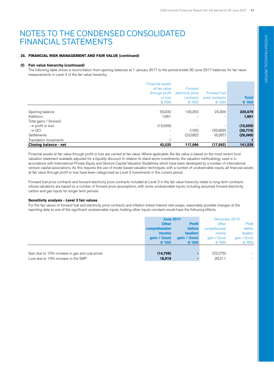## Notes to the Condensed Consolidated Financial Statements

## **25. FINANCIAL RISK MANAGEMENT AND FAIR VALUE (continued)**

### **(f) Fair value hierarchy (continued)**

The following table shows a reconciliation from opening balances at 1 January 2017 to the period ended 30 June 2017 balances for fair value measurements in Level 3 of the fair value hierarchy:

| Closing balance - net   | 42.035                                                     | 117.066                      | (17, 562)           | 141,539      |
|-------------------------|------------------------------------------------------------|------------------------------|---------------------|--------------|
| Translation movements   |                                                            | ۰                            |                     |              |
| Settlements             | $\overline{\phantom{a}}$                                   | (23,082)                     | (6, 287)            | (29, 369)    |
| - in OCI                |                                                            | (105)                        | (35,669)            | (35, 774)    |
| - in profit or loss     | (15,559)                                                   | $\overline{\phantom{a}}$     |                     | (15, 559)    |
| Total gains / (losses): |                                                            |                              |                     |              |
| Additions               | 1.661                                                      | $\overline{\phantom{a}}$     |                     | 1,661        |
| Opening balance         | 55,932                                                     | 140.253                      | 24.394              | 220,579      |
|                         | $\epsilon$ '000                                            | $\epsilon$ '000              | $\epsilon$ '000     | € '000       |
|                         | or loss                                                    | contracts                    | price contracts     | <b>Total</b> |
|                         | <b>Financial assets</b><br>at fair value<br>through profit | Forward<br>electricity price | <b>Forward fuel</b> |              |

Financial assets at fair value through profit or loss are carried at fair value. Where applicable, the fair value is based on the most recent fund valuation statement available adjusted for a liquidity discount. In relation to stand alone investments, the valuation methodology used is in accordance with International Private Equity and Venture Capital Valuation Guidelines which have been developed by a number of international venture capital associations. As this requires the use of model based valuation techniques, with a number of unobservable inputs, all financial assets at fair value through profit or loss have been categorised as Level 3 investments in the current period.

Forward fuel price contracts and forward electricity price contracts included at Level 3 in the fair value hierarchy relate to long-term contracts whose valuations are based on a number of forward price assumptions, with some unobservable inputs, including assumed forward electricity, carbon and gas inputs for longer term periods.

### **Sensitivity analysis - Level 3 fair values**

For the fair values of forward fuel and electricity price contracts and inflation linked interest rate swaps, reasonably possible changes at the reporting date to one of the significant unobservable inputs, holding other inputs constant, would have the following effects.

|                                                 | <b>June 2017</b>              |                 | December 2016   |                          |
|-------------------------------------------------|-------------------------------|-----------------|-----------------|--------------------------|
|                                                 | <b>Profit</b><br><b>Other</b> |                 | Other           | Profit                   |
|                                                 | comprehensive                 | before          | comprehensive   | before                   |
|                                                 | <i>income</i>                 | taxation        | income          | taxation                 |
|                                                 | gain / (loss)                 | gain / (loss)   | gain $/$ (loss) | gain $/$ (loss)          |
|                                                 | $\epsilon$ '000               | $\epsilon$ '000 | $000 \neq$      | $\epsilon$ '000          |
|                                                 |                               |                 |                 |                          |
| Gain due to 10% increase in gas and coal prices | (14,708)                      |                 | (22, 276)       |                          |
| Loss due to 10% increase in the SMP             | 18,919                        |                 | 26,311          | $\overline{\phantom{0}}$ |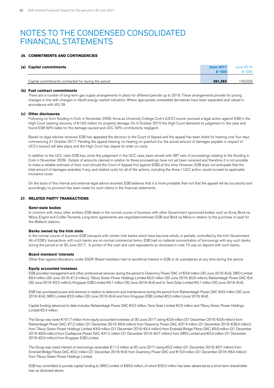#### **26. COMMITMENTS AND CONTINGENCIES**

| (a) Capital commitments                              | <b>June 2017</b> | June 2016 |
|------------------------------------------------------|------------------|-----------|
|                                                      | $\epsilon$ '000  | € '000    |
|                                                      |                  |           |
| Capital commitments contracted for during the period | 261.383          | 140.029   |

#### **(b) Fuel contract commitments**

There are a number of long-term gas supply arrangements in place for different periods up to 2019. These arrangements provide for pricing changes in line with changes in inbuilt energy market indicators. Where appropriate, embedded derivatives have been separated and valued in accordance with IAS 39.

#### **(c) Other disclosures**

Following on from flooding in Cork in November 2009, Aviva as University College Cork's (UCC) insurer pursued a legal action against ESB in the High Court seeking recovery of €19.0 million for property damage. On 5 October 2015 the High Court delivered its judgement in the case and found ESB 60% liable for the damage caused and UCC 40% contributorily negligent.

Based on legal advices received, ESB has appealed the decision to the Court of Appeal and the appeal has been listed for hearing over four days commencing 31 October 2017. Pending the appeal hearing, no hearing on quantum (i.e. the actual amount of damages payable in respect of UCC's losses) will take place and the High Court has stayed its order on costs.

In addition to the UCC claim ESB has, since the judgement in the UCC case, been served with 387 sets of proceedings relating to the flooding in Cork in November 2009. Details of amounts claimed in relation to these proceedings have not yet been received and therefore it is not possible to make a reliable estimate of their cost (should the Court of Appeal find against ESB) at this time. However, ESB does not anticipate that the total amount of damages awarded, if any, and related costs for all of the actions, including the Aviva / UCC action, would exceed its applicable insurance cover.

On the basis of the internal and external legal advice received, ESB believes that it is more probable than not that the appeal will be successful and accordingly, no provision has been made for such claims in the financial statements.

#### **27. RELATED PARTY TRANSACTIONS**

#### **Semi-state bodies**

In common with many other entities, ESB deals in the normal course of business with other Government sponsored bodies such as Ervia, Bord na Móna, Eirgrid and Coillte Teoranta. Long-term agreements are negotiated between ESB and Bord na Móna in relation to the purchase of peat for the Midland stations.

#### **Banks owned by the Irish state**

In the normal course of business ESB transacts with certain Irish banks which have become wholly or partially controlled by the Irish Government. All of ESB's transactions with such banks are on normal commercial terms. ESB had no material concentration of borrowings with any such banks during the period or at 30 June 2017. A portion of the cash and cash equivalents as disclosed in note 15 was on deposit with such banks.

#### **Board members' interests**

Other than agreed allocations under ESOP, Board members had no beneficial interest in ESB or its subsidiaries at any time during the period.

#### **Equity accounted investees**

ESB provided management and other professional services during the period to Oweninny Power DAC of €0.8 million (30 June 2016: €nil), SIRO Limited €6.4 million (30 June 2016: €1.5 million), Tilbury Green Power Holdings Limited €0.3 million (30 June 2016: €0.9 million), Raheenleagh Power DAC €nil (30 June 2016: €2.2 million), Kingspan ESB Limited €0.1 million (30 June 2016: €nil) and to Terra Solar Limited €0.1 million (30 June 2016: €nil).

ESB has purchased power and services in relation to telecoms and maintenance during the period from Raheenleagh Power DAC €4.9 million (30 June 2016: €nil), SIRO Limited €2.0 million (30 June 2016: €nil) and from Kingspan ESB Limited €0.3 million (June 2016: €nil).

Capital funding advanced to date includes Raheenleagh Power DAC €3.2 million, Terra Solar Limited €2.5 million and Tilbury Green Power Holdings Limited €2.4 million.

The Group was owed €101.7 million from equity accounted investees at 30 June 2017, being €3.8 million (31 December 2016: €3.8 million) from Raheenleagh Power DAC, €7.2 million (31 December 2016: €6.9 million) from Oweninny Power DAC, €37.4 million (31 December 2016: €38.4 million) from Tilbury Green Power Holdings Limited, €4.9 million (31 December 2016: €4.4 million) from Emerald Bridge Fibres DAC, €6.9 million (31 December 2016: €6.9 million) from Castlepook Power DAC, €41.2 million (31 December 2016: €4.7 million) from SIRO Limited and €0.3 million (31 December 2016: €0.3 million) from Kingspan ESB Limited.

The Group was owed interest on borrowings receivable €11.3 million at 30 June 2017, being €0.2 million (31 December 2016: €0.7 million) from Emerald Bridge Fibres DAC, €0.2 million (31 December 2016: €nil) from Oweninny Power DAC and €10.9 million (31 December 2016: €8.4 million) from Tilbury Green Power Holdings Limited.

ESB has committed to provide capital funding to SIRO Limited of €85.0 million, of which €32.0 million has been advanced as a short-term shareholder loan as disclosed above.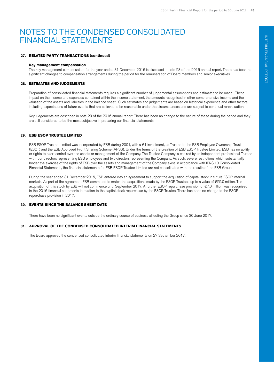## Notes to the Condensed Consolidated Financial Statements

### **27. RELATED PARTY TRANSACTIONS (continued)**

#### **Key management compensation**

The key management compensation for the year ended 31 December 2016 is disclosed in note 28 of the 2016 annual report. There has been no significant changes to compensation arrangements during the period for the remuneration of Board members and senior executives.

### **28. ESTIMATES AND JUDGEMENTS**

Preparation of consolidated financial statements requires a significant number of judgemental assumptions and estimates to be made. These impact on the income and expenses contained within the income statement, the amounts recognised in other comprehensive income and the valuation of the assets and liabilities in the balance sheet. Such estimates and judgements are based on historical experience and other factors, including expectations of future events that are believed to be reasonable under the circumstances and are subject to continual re-evaluation.

Key judgements are described in note 29 of the 2016 annual report. There has been no change to the nature of these during the period and they are still considered to be the most subjective in preparing our financial statements.

### **29. ESB ESOP TRUSTEE LIMITED**

ESB ESOP Trustee Limited was incorporated by ESB during 2001, with a €1 investment, as Trustee to the ESB Employee Ownership Trust (ESOT) and the ESB Approved Profit Sharing Scheme (APSS). Under the terms of the creation of ESB ESOP Trustee Limited, ESB has no ability or rights to exert control over the assets or management of the Company. The Trustee Company is chaired by an independent professional Trustee with four directors representing ESB employees and two directors representing the Company. As such, severe restrictions which substantially hinder the exercise of the rights of ESB over the assets and management of the Company exist. In accordance with IFRS 10 Consolidated Financial Statements, the financial statements for ESB ESOP Trustee Limited are not consolidated with the results of the ESB Group.

During the year ended 31 December 2015, ESB entered into an agreement to support the acquisition of capital stock in future ESOP internal markets. As part of the agreement ESB committed to match the acquisitions made by the ESOP Trustees up to a value of €25.0 million. The acquisition of this stock by ESB will not commence until September 2017. A further ESOP repurchase provision of €7.0 million was recognised in the 2016 financial statements in relation to the capital stock repurchase by the ESOP Trustee. There has been no change to the ESOP repurchase provision in 2017.

## **30. EVENTS SINCE THE BALANCE SHEET DATE**

There have been no significant events outside the ordinary course of business affecting the Group since 30 June 2017.

#### **31. APPROVAL OF THE CONDENSED CONSOLIDATED INTERIM FINANCIAL STATEMENTS**

The Board approved the condensed consolidated interim financial statements on 27 September 2017.